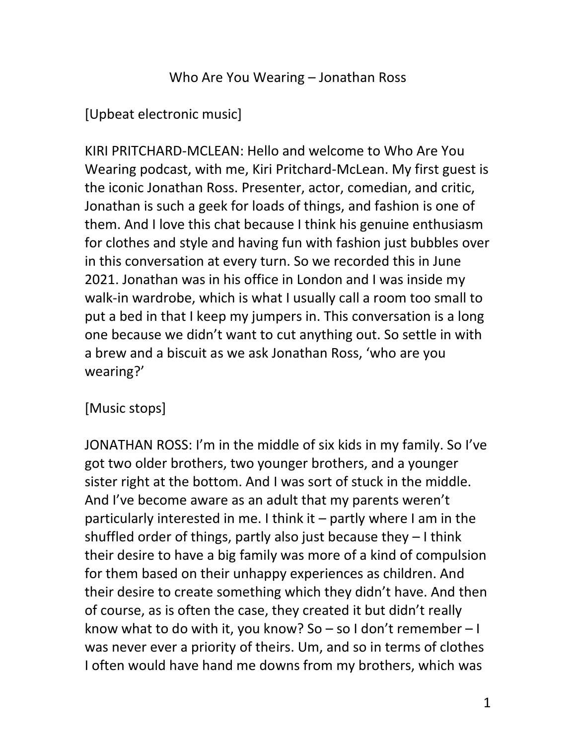### Who Are You Wearing – Jonathan Ross

[Upbeat electronic music]

KIRI PRITCHARD-MCLEAN: Hello and welcome to Who Are You Wearing podcast, with me, Kiri Pritchard-McLean. My first guest is the iconic Jonathan Ross. Presenter, actor, comedian, and critic, Jonathan is such a geek for loads of things, and fashion is one of them. And I love this chat because I think his genuine enthusiasm for clothes and style and having fun with fashion just bubbles over in this conversation at every turn. So we recorded this in June 2021. Jonathan was in his office in London and I was inside my walk-in wardrobe, which is what I usually call a room too small to put a bed in that I keep my jumpers in. This conversation is a long one because we didn't want to cut anything out. So settle in with a brew and a biscuit as we ask Jonathan Ross, 'who are you wearing?'

# [Music stops]

JONATHAN ROSS: I'm in the middle of six kids in my family. So I've got two older brothers, two younger brothers, and a younger sister right at the bottom. And I was sort of stuck in the middle. And I've become aware as an adult that my parents weren't particularly interested in me. I think it – partly where I am in the shuffled order of things, partly also just because they – I think their desire to have a big family was more of a kind of compulsion for them based on their unhappy experiences as children. And their desire to create something which they didn't have. And then of course, as is often the case, they created it but didn't really know what to do with it, you know? So – so I don't remember – I was never ever a priority of theirs. Um, and so in terms of clothes I often would have hand me downs from my brothers, which was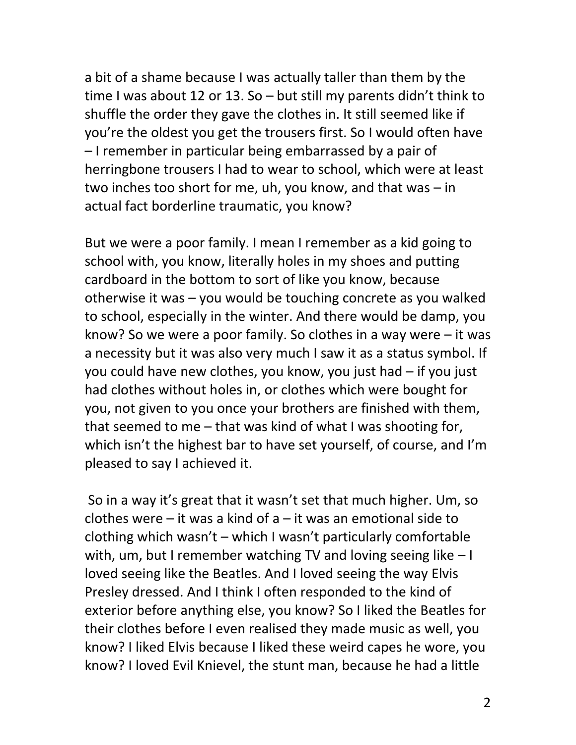a bit of a shame because I was actually taller than them by the time I was about 12 or 13. So – but still my parents didn't think to shuffle the order they gave the clothes in. It still seemed like if you're the oldest you get the trousers first. So I would often have – I remember in particular being embarrassed by a pair of herringbone trousers I had to wear to school, which were at least two inches too short for me, uh, you know, and that was – in actual fact borderline traumatic, you know?

But we were a poor family. I mean I remember as a kid going to school with, you know, literally holes in my shoes and putting cardboard in the bottom to sort of like you know, because otherwise it was – you would be touching concrete as you walked to school, especially in the winter. And there would be damp, you know? So we were a poor family. So clothes in a way were – it was a necessity but it was also very much I saw it as a status symbol. If you could have new clothes, you know, you just had – if you just had clothes without holes in, or clothes which were bought for you, not given to you once your brothers are finished with them, that seemed to me – that was kind of what I was shooting for, which isn't the highest bar to have set yourself, of course, and I'm pleased to say I achieved it.

So in a way it's great that it wasn't set that much higher. Um, so clothes were – it was a kind of a – it was an emotional side to clothing which wasn't – which I wasn't particularly comfortable with, um, but I remember watching TV and loving seeing like – I loved seeing like the Beatles. And I loved seeing the way Elvis Presley dressed. And I think I often responded to the kind of exterior before anything else, you know? So I liked the Beatles for their clothes before I even realised they made music as well, you know? I liked Elvis because I liked these weird capes he wore, you know? I loved Evil Knievel, the stunt man, because he had a little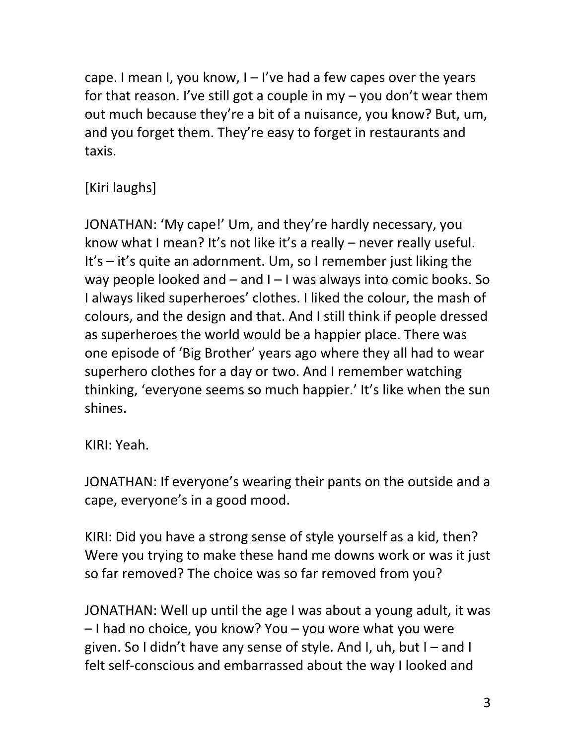cape. I mean I, you know,  $I - I'$ ve had a few capes over the years for that reason. I've still got a couple in  $my - you$  don't wear them out much because they're a bit of a nuisance, you know? But, um, and you forget them. They're easy to forget in restaurants and taxis.

# [Kiri laughs]

JONATHAN: 'My cape!' Um, and they're hardly necessary, you know what I mean? It's not like it's a really – never really useful. It's – it's quite an adornment. Um, so I remember just liking the way people looked and  $-$  and  $1 - 1$  was always into comic books. So I always liked superheroes' clothes. I liked the colour, the mash of colours, and the design and that. And I still think if people dressed as superheroes the world would be a happier place. There was one episode of 'Big Brother' years ago where they all had to wear superhero clothes for a day or two. And I remember watching thinking, 'everyone seems so much happier.' It's like when the sun shines.

KIRI: Yeah.

JONATHAN: If everyone's wearing their pants on the outside and a cape, everyone's in a good mood.

KIRI: Did you have a strong sense of style yourself as a kid, then? Were you trying to make these hand me downs work or was it just so far removed? The choice was so far removed from you?

JONATHAN: Well up until the age I was about a young adult, it was – I had no choice, you know? You – you wore what you were given. So I didn't have any sense of style. And I, uh, but I – and I felt self-conscious and embarrassed about the way I looked and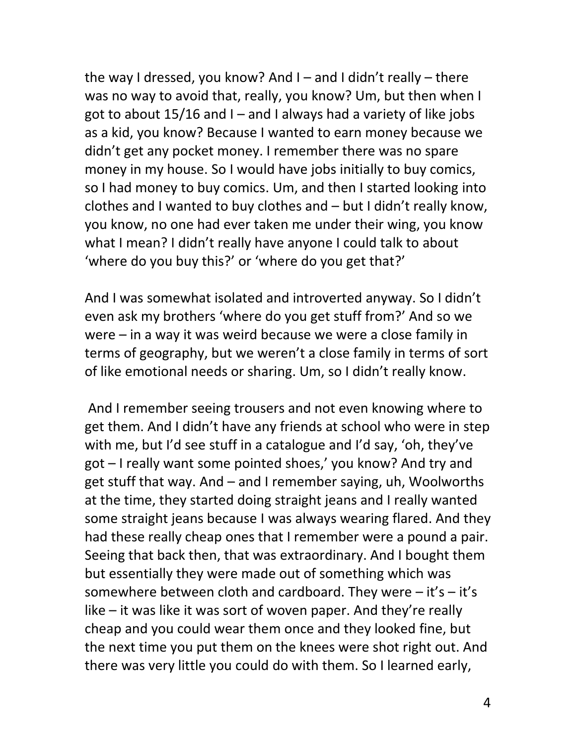the way I dressed, you know? And  $I$  – and I didn't really – there was no way to avoid that, really, you know? Um, but then when I got to about 15/16 and I – and I always had a variety of like jobs as a kid, you know? Because I wanted to earn money because we didn't get any pocket money. I remember there was no spare money in my house. So I would have jobs initially to buy comics, so I had money to buy comics. Um, and then I started looking into clothes and I wanted to buy clothes and – but I didn't really know, you know, no one had ever taken me under their wing, you know what I mean? I didn't really have anyone I could talk to about 'where do you buy this?' or 'where do you get that?'

And I was somewhat isolated and introverted anyway. So I didn't even ask my brothers 'where do you get stuff from?' And so we were – in a way it was weird because we were a close family in terms of geography, but we weren't a close family in terms of sort of like emotional needs or sharing. Um, so I didn't really know.

And I remember seeing trousers and not even knowing where to get them. And I didn't have any friends at school who were in step with me, but I'd see stuff in a catalogue and I'd say, 'oh, they've got – I really want some pointed shoes,' you know? And try and get stuff that way. And – and I remember saying, uh, Woolworths at the time, they started doing straight jeans and I really wanted some straight jeans because I was always wearing flared. And they had these really cheap ones that I remember were a pound a pair. Seeing that back then, that was extraordinary. And I bought them but essentially they were made out of something which was somewhere between cloth and cardboard. They were  $-$  it's  $-$  it's like – it was like it was sort of woven paper. And they're really cheap and you could wear them once and they looked fine, but the next time you put them on the knees were shot right out. And there was very little you could do with them. So I learned early,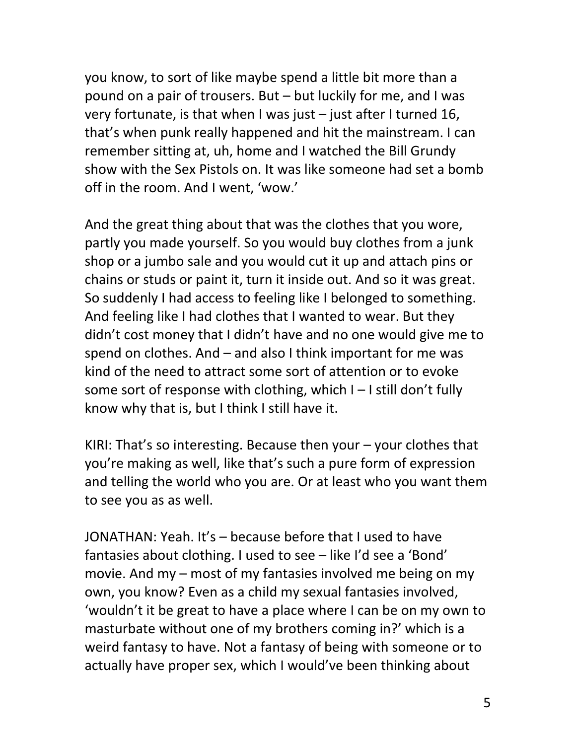you know, to sort of like maybe spend a little bit more than a pound on a pair of trousers. But – but luckily for me, and I was very fortunate, is that when I was just – just after I turned 16, that's when punk really happened and hit the mainstream. I can remember sitting at, uh, home and I watched the Bill Grundy show with the Sex Pistols on. It was like someone had set a bomb off in the room. And I went, 'wow.'

And the great thing about that was the clothes that you wore, partly you made yourself. So you would buy clothes from a junk shop or a jumbo sale and you would cut it up and attach pins or chains or studs or paint it, turn it inside out. And so it was great. So suddenly I had access to feeling like I belonged to something. And feeling like I had clothes that I wanted to wear. But they didn't cost money that I didn't have and no one would give me to spend on clothes. And – and also I think important for me was kind of the need to attract some sort of attention or to evoke some sort of response with clothing, which I – I still don't fully know why that is, but I think I still have it.

KIRI: That's so interesting. Because then your – your clothes that you're making as well, like that's such a pure form of expression and telling the world who you are. Or at least who you want them to see you as as well.

JONATHAN: Yeah. It's – because before that I used to have fantasies about clothing. I used to see – like I'd see a 'Bond' movie. And my – most of my fantasies involved me being on my own, you know? Even as a child my sexual fantasies involved, 'wouldn't it be great to have a place where I can be on my own to masturbate without one of my brothers coming in?' which is a weird fantasy to have. Not a fantasy of being with someone or to actually have proper sex, which I would've been thinking about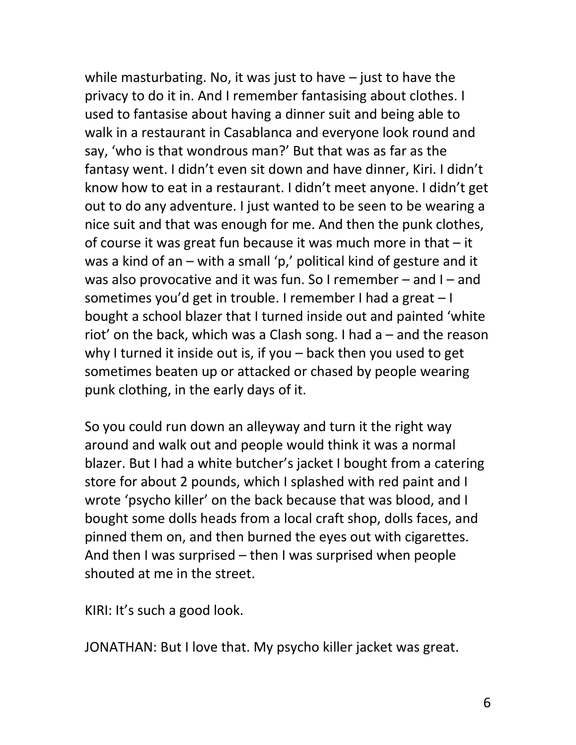while masturbating. No, it was just to have – just to have the privacy to do it in. And I remember fantasising about clothes. I used to fantasise about having a dinner suit and being able to walk in a restaurant in Casablanca and everyone look round and say, 'who is that wondrous man?' But that was as far as the fantasy went. I didn't even sit down and have dinner, Kiri. I didn't know how to eat in a restaurant. I didn't meet anyone. I didn't get out to do any adventure. I just wanted to be seen to be wearing a nice suit and that was enough for me. And then the punk clothes, of course it was great fun because it was much more in that – it was a kind of an – with a small 'p,' political kind of gesture and it was also provocative and it was fun. So I remember – and I – and sometimes you'd get in trouble. I remember I had a great – I bought a school blazer that I turned inside out and painted 'white riot' on the back, which was a Clash song. I had a – and the reason why I turned it inside out is, if you – back then you used to get sometimes beaten up or attacked or chased by people wearing punk clothing, in the early days of it.

So you could run down an alleyway and turn it the right way around and walk out and people would think it was a normal blazer. But I had a white butcher's jacket I bought from a catering store for about 2 pounds, which I splashed with red paint and I wrote 'psycho killer' on the back because that was blood, and I bought some dolls heads from a local craft shop, dolls faces, and pinned them on, and then burned the eyes out with cigarettes. And then I was surprised – then I was surprised when people shouted at me in the street.

KIRI: It's such a good look.

JONATHAN: But I love that. My psycho killer jacket was great.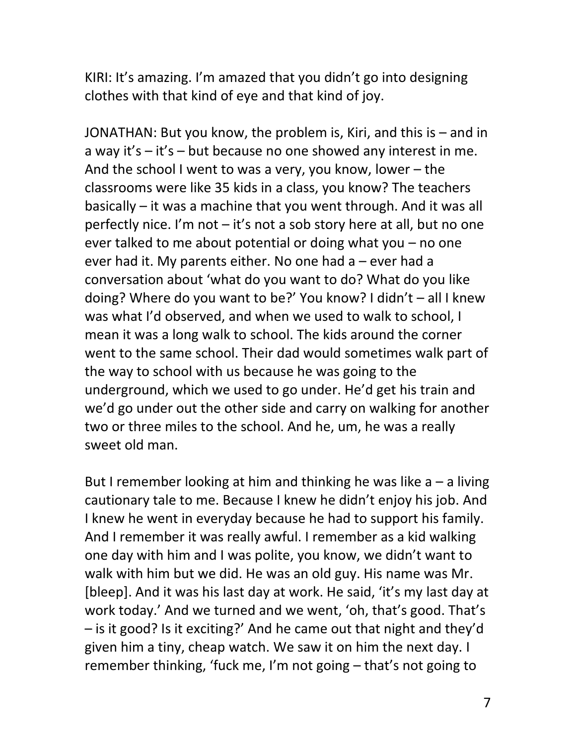KIRI: It's amazing. I'm amazed that you didn't go into designing clothes with that kind of eye and that kind of joy.

JONATHAN: But you know, the problem is, Kiri, and this is – and in a way it's – it's – but because no one showed any interest in me. And the school I went to was a very, you know, lower – the classrooms were like 35 kids in a class, you know? The teachers basically – it was a machine that you went through. And it was all perfectly nice. I'm not – it's not a sob story here at all, but no one ever talked to me about potential or doing what you – no one ever had it. My parents either. No one had a – ever had a conversation about 'what do you want to do? What do you like doing? Where do you want to be?' You know? I didn't – all I knew was what I'd observed, and when we used to walk to school, I mean it was a long walk to school. The kids around the corner went to the same school. Their dad would sometimes walk part of the way to school with us because he was going to the underground, which we used to go under. He'd get his train and we'd go under out the other side and carry on walking for another two or three miles to the school. And he, um, he was a really sweet old man.

But I remember looking at him and thinking he was like  $a - a$  living cautionary tale to me. Because I knew he didn't enjoy his job. And I knew he went in everyday because he had to support his family. And I remember it was really awful. I remember as a kid walking one day with him and I was polite, you know, we didn't want to walk with him but we did. He was an old guy. His name was Mr. [bleep]. And it was his last day at work. He said, 'it's my last day at work today.' And we turned and we went, 'oh, that's good. That's – is it good? Is it exciting?' And he came out that night and they'd given him a tiny, cheap watch. We saw it on him the next day. I remember thinking, 'fuck me, I'm not going – that's not going to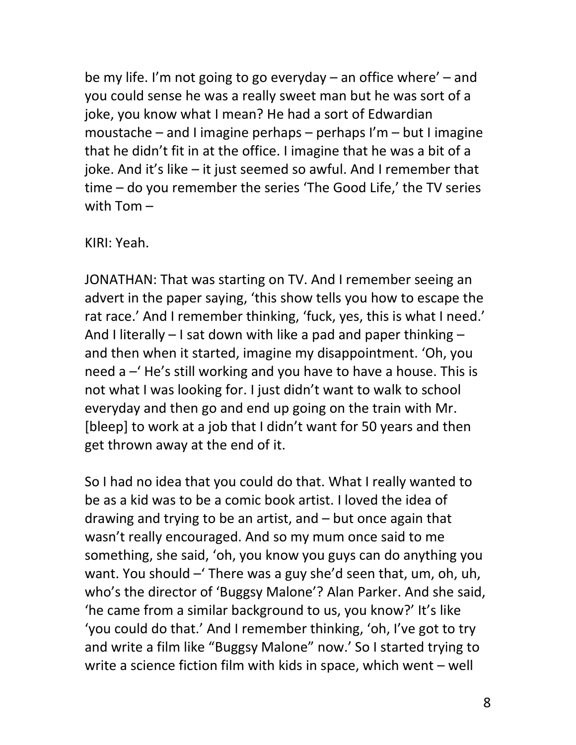be my life. I'm not going to go everyday – an office where' – and you could sense he was a really sweet man but he was sort of a joke, you know what I mean? He had a sort of Edwardian moustache – and I imagine perhaps – perhaps I'm – but I imagine that he didn't fit in at the office. I imagine that he was a bit of a joke. And it's like – it just seemed so awful. And I remember that time – do you remember the series 'The Good Life,' the TV series with Tom –

KIRI: Yeah.

JONATHAN: That was starting on TV. And I remember seeing an advert in the paper saying, 'this show tells you how to escape the rat race.' And I remember thinking, 'fuck, yes, this is what I need.' And I literally  $-1$  sat down with like a pad and paper thinking  $$ and then when it started, imagine my disappointment. 'Oh, you need a –' He's still working and you have to have a house. This is not what I was looking for. I just didn't want to walk to school everyday and then go and end up going on the train with Mr. [bleep] to work at a job that I didn't want for 50 years and then get thrown away at the end of it.

So I had no idea that you could do that. What I really wanted to be as a kid was to be a comic book artist. I loved the idea of drawing and trying to be an artist, and – but once again that wasn't really encouraged. And so my mum once said to me something, she said, 'oh, you know you guys can do anything you want. You should –' There was a guy she'd seen that, um, oh, uh, who's the director of 'Buggsy Malone'? Alan Parker. And she said, 'he came from a similar background to us, you know?' It's like 'you could do that.' And I remember thinking, 'oh, I've got to try and write a film like "Buggsy Malone" now.' So I started trying to write a science fiction film with kids in space, which went – well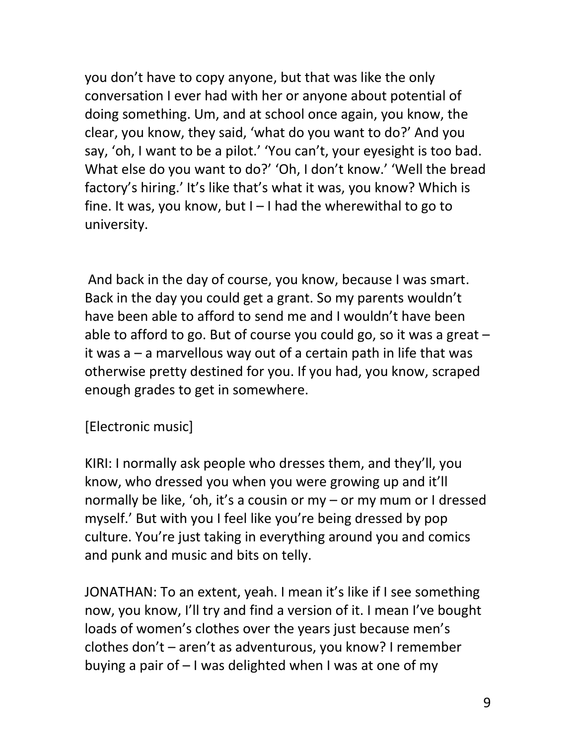you don't have to copy anyone, but that was like the only conversation I ever had with her or anyone about potential of doing something. Um, and at school once again, you know, the clear, you know, they said, 'what do you want to do?' And you say, 'oh, I want to be a pilot.' 'You can't, your eyesight is too bad. What else do you want to do?' 'Oh, I don't know.' 'Well the bread factory's hiring.' It's like that's what it was, you know? Which is fine. It was, you know, but  $I - I$  had the wherewithal to go to university.

And back in the day of course, you know, because I was smart. Back in the day you could get a grant. So my parents wouldn't have been able to afford to send me and I wouldn't have been able to afford to go. But of course you could go, so it was a great – it was a – a marvellous way out of a certain path in life that was otherwise pretty destined for you. If you had, you know, scraped enough grades to get in somewhere.

[Electronic music]

KIRI: I normally ask people who dresses them, and they'll, you know, who dressed you when you were growing up and it'll normally be like, 'oh, it's a cousin or my – or my mum or I dressed myself.' But with you I feel like you're being dressed by pop culture. You're just taking in everything around you and comics and punk and music and bits on telly.

JONATHAN: To an extent, yeah. I mean it's like if I see something now, you know, I'll try and find a version of it. I mean I've bought loads of women's clothes over the years just because men's clothes don't – aren't as adventurous, you know? I remember buying a pair of – I was delighted when I was at one of my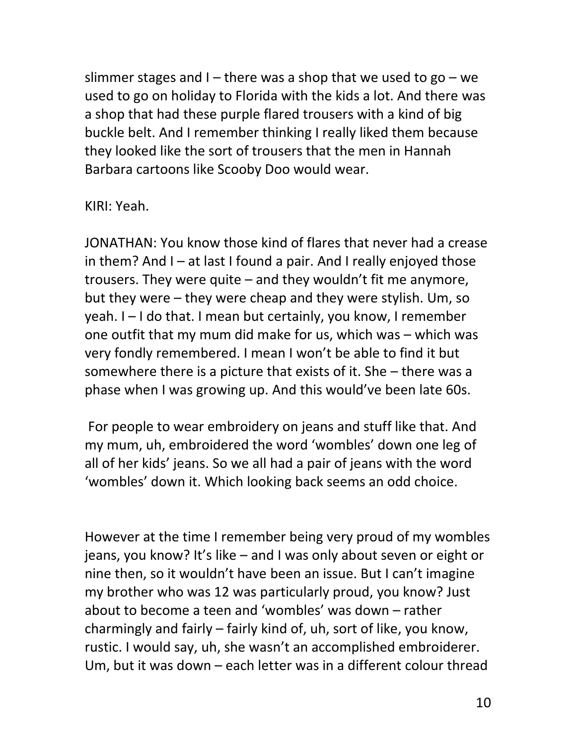slimmer stages and I – there was a shop that we used to go – we used to go on holiday to Florida with the kids a lot. And there was a shop that had these purple flared trousers with a kind of big buckle belt. And I remember thinking I really liked them because they looked like the sort of trousers that the men in Hannah Barbara cartoons like Scooby Doo would wear.

#### KIRI: Yeah.

JONATHAN: You know those kind of flares that never had a crease in them? And I – at last I found a pair. And I really enjoyed those trousers. They were quite – and they wouldn't fit me anymore, but they were – they were cheap and they were stylish. Um, so yeah. I – I do that. I mean but certainly, you know, I remember one outfit that my mum did make for us, which was – which was very fondly remembered. I mean I won't be able to find it but somewhere there is a picture that exists of it. She – there was a phase when I was growing up. And this would've been late 60s.

For people to wear embroidery on jeans and stuff like that. And my mum, uh, embroidered the word 'wombles' down one leg of all of her kids' jeans. So we all had a pair of jeans with the word 'wombles' down it. Which looking back seems an odd choice.

However at the time I remember being very proud of my wombles jeans, you know? It's like – and I was only about seven or eight or nine then, so it wouldn't have been an issue. But I can't imagine my brother who was 12 was particularly proud, you know? Just about to become a teen and 'wombles' was down – rather charmingly and fairly – fairly kind of, uh, sort of like, you know, rustic. I would say, uh, she wasn't an accomplished embroiderer. Um, but it was down – each letter was in a different colour thread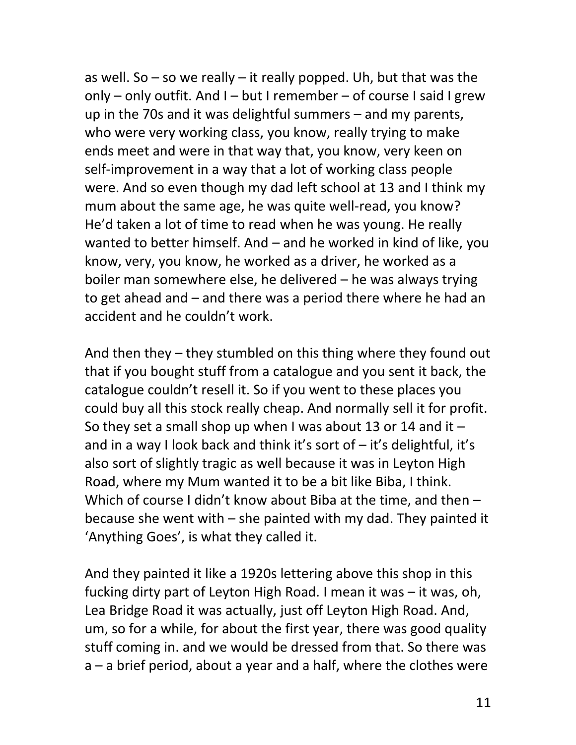as well. So – so we really – it really popped. Uh, but that was the only – only outfit. And  $I - but I$  remember – of course I said I grew up in the 70s and it was delightful summers – and my parents, who were very working class, you know, really trying to make ends meet and were in that way that, you know, very keen on self-improvement in a way that a lot of working class people were. And so even though my dad left school at 13 and I think my mum about the same age, he was quite well-read, you know? He'd taken a lot of time to read when he was young. He really wanted to better himself. And – and he worked in kind of like, you know, very, you know, he worked as a driver, he worked as a boiler man somewhere else, he delivered – he was always trying to get ahead and – and there was a period there where he had an accident and he couldn't work.

And then they – they stumbled on this thing where they found out that if you bought stuff from a catalogue and you sent it back, the catalogue couldn't resell it. So if you went to these places you could buy all this stock really cheap. And normally sell it for profit. So they set a small shop up when I was about 13 or 14 and it  $$ and in a way I look back and think it's sort of – it's delightful, it's also sort of slightly tragic as well because it was in Leyton High Road, where my Mum wanted it to be a bit like Biba, I think. Which of course I didn't know about Biba at the time, and then – because she went with – she painted with my dad. They painted it 'Anything Goes', is what they called it.

And they painted it like a 1920s lettering above this shop in this fucking dirty part of Leyton High Road. I mean it was – it was, oh, Lea Bridge Road it was actually, just off Leyton High Road. And, um, so for a while, for about the first year, there was good quality stuff coming in. and we would be dressed from that. So there was a – a brief period, about a year and a half, where the clothes were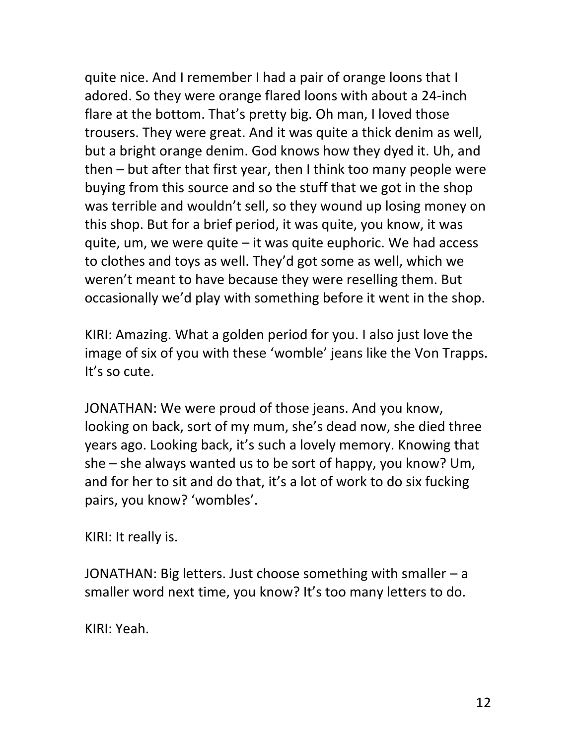quite nice. And I remember I had a pair of orange loons that I adored. So they were orange flared loons with about a 24-inch flare at the bottom. That's pretty big. Oh man, I loved those trousers. They were great. And it was quite a thick denim as well, but a bright orange denim. God knows how they dyed it. Uh, and then – but after that first year, then I think too many people were buying from this source and so the stuff that we got in the shop was terrible and wouldn't sell, so they wound up losing money on this shop. But for a brief period, it was quite, you know, it was quite, um, we were quite – it was quite euphoric. We had access to clothes and toys as well. They'd got some as well, which we weren't meant to have because they were reselling them. But occasionally we'd play with something before it went in the shop.

KIRI: Amazing. What a golden period for you. I also just love the image of six of you with these 'womble' jeans like the Von Trapps. It's so cute.

JONATHAN: We were proud of those jeans. And you know, looking on back, sort of my mum, she's dead now, she died three years ago. Looking back, it's such a lovely memory. Knowing that she – she always wanted us to be sort of happy, you know? Um, and for her to sit and do that, it's a lot of work to do six fucking pairs, you know? 'wombles'.

KIRI: It really is.

JONATHAN: Big letters. Just choose something with smaller – a smaller word next time, you know? It's too many letters to do.

KIRI: Yeah.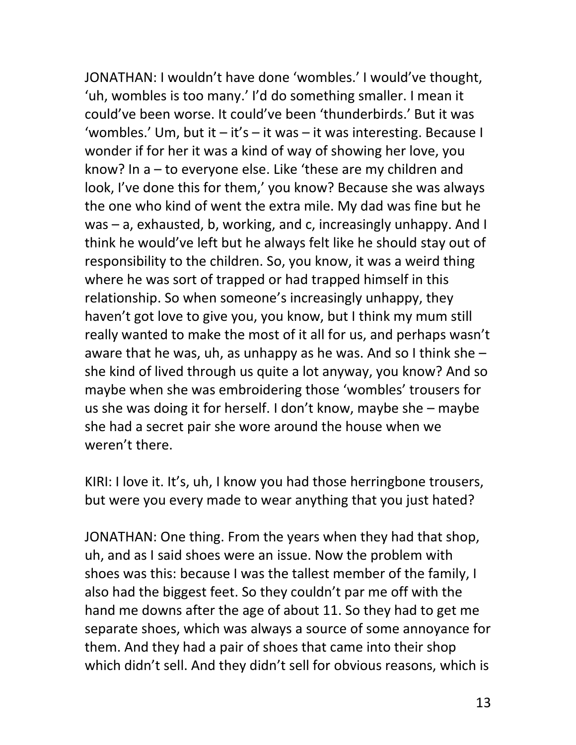JONATHAN: I wouldn't have done 'wombles.' I would've thought, 'uh, wombles is too many.' I'd do something smaller. I mean it could've been worse. It could've been 'thunderbirds.' But it was 'wombles.' Um, but it  $-$  it's  $-$  it was  $-$  it was interesting. Because I wonder if for her it was a kind of way of showing her love, you know? In a – to everyone else. Like 'these are my children and look, I've done this for them,' you know? Because she was always the one who kind of went the extra mile. My dad was fine but he was – a, exhausted, b, working, and c, increasingly unhappy. And I think he would've left but he always felt like he should stay out of responsibility to the children. So, you know, it was a weird thing where he was sort of trapped or had trapped himself in this relationship. So when someone's increasingly unhappy, they haven't got love to give you, you know, but I think my mum still really wanted to make the most of it all for us, and perhaps wasn't aware that he was, uh, as unhappy as he was. And so I think she – she kind of lived through us quite a lot anyway, you know? And so maybe when she was embroidering those 'wombles' trousers for us she was doing it for herself. I don't know, maybe she – maybe she had a secret pair she wore around the house when we weren't there.

KIRI: I love it. It's, uh, I know you had those herringbone trousers, but were you every made to wear anything that you just hated?

JONATHAN: One thing. From the years when they had that shop, uh, and as I said shoes were an issue. Now the problem with shoes was this: because I was the tallest member of the family, I also had the biggest feet. So they couldn't par me off with the hand me downs after the age of about 11. So they had to get me separate shoes, which was always a source of some annoyance for them. And they had a pair of shoes that came into their shop which didn't sell. And they didn't sell for obvious reasons, which is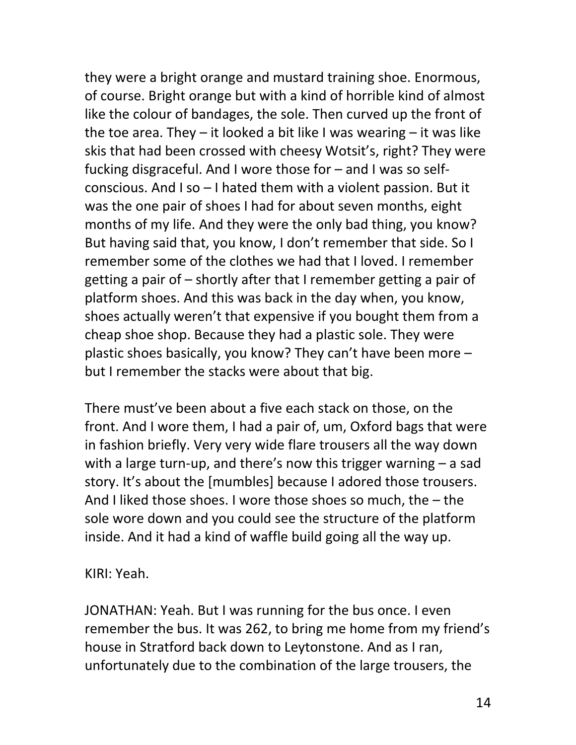they were a bright orange and mustard training shoe. Enormous, of course. Bright orange but with a kind of horrible kind of almost like the colour of bandages, the sole. Then curved up the front of the toe area. They  $-$  it looked a bit like I was wearing  $-$  it was like skis that had been crossed with cheesy Wotsit's, right? They were fucking disgraceful. And I wore those for – and I was so selfconscious. And I so – I hated them with a violent passion. But it was the one pair of shoes I had for about seven months, eight months of my life. And they were the only bad thing, you know? But having said that, you know, I don't remember that side. So I remember some of the clothes we had that I loved. I remember getting a pair of – shortly after that I remember getting a pair of platform shoes. And this was back in the day when, you know, shoes actually weren't that expensive if you bought them from a cheap shoe shop. Because they had a plastic sole. They were plastic shoes basically, you know? They can't have been more – but I remember the stacks were about that big.

There must've been about a five each stack on those, on the front. And I wore them, I had a pair of, um, Oxford bags that were in fashion briefly. Very very wide flare trousers all the way down with a large turn-up, and there's now this trigger warning – a sad story. It's about the [mumbles] because I adored those trousers. And I liked those shoes. I wore those shoes so much, the – the sole wore down and you could see the structure of the platform inside. And it had a kind of waffle build going all the way up.

KIRI: Yeah.

JONATHAN: Yeah. But I was running for the bus once. I even remember the bus. It was 262, to bring me home from my friend's house in Stratford back down to Leytonstone. And as I ran, unfortunately due to the combination of the large trousers, the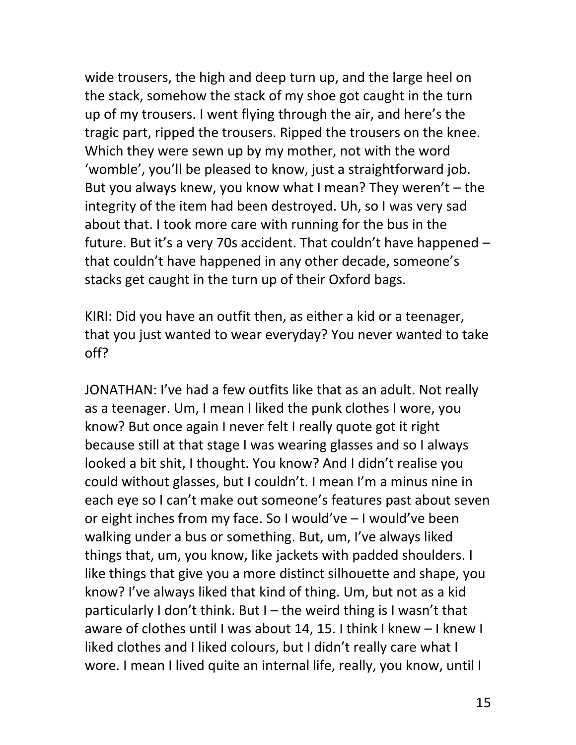wide trousers, the high and deep turn up, and the large heel on the stack, somehow the stack of my shoe got caught in the turn up of my trousers. I went flying through the air, and here's the tragic part, ripped the trousers. Ripped the trousers on the knee. Which they were sewn up by my mother, not with the word 'womble', you'll be pleased to know, just a straightforward job. But you always knew, you know what I mean? They weren't – the integrity of the item had been destroyed. Uh, so I was very sad about that. I took more care with running for the bus in the future. But it's a very 70s accident. That couldn't have happened – that couldn't have happened in any other decade, someone's stacks get caught in the turn up of their Oxford bags.

KIRI: Did you have an outfit then, as either a kid or a teenager, that you just wanted to wear everyday? You never wanted to take off?

JONATHAN: I've had a few outfits like that as an adult. Not really as a teenager. Um, I mean I liked the punk clothes I wore, you know? But once again I never felt I really quote got it right because still at that stage I was wearing glasses and so I always looked a bit shit, I thought. You know? And I didn't realise you could without glasses, but I couldn't. I mean I'm a minus nine in each eye so I can't make out someone's features past about seven or eight inches from my face. So I would've – I would've been walking under a bus or something. But, um, I've always liked things that, um, you know, like jackets with padded shoulders. I like things that give you a more distinct silhouette and shape, you know? I've always liked that kind of thing. Um, but not as a kid particularly I don't think. But  $I$  – the weird thing is I wasn't that aware of clothes until I was about 14, 15. I think I knew – I knew I liked clothes and I liked colours, but I didn't really care what I wore. I mean I lived quite an internal life, really, you know, until I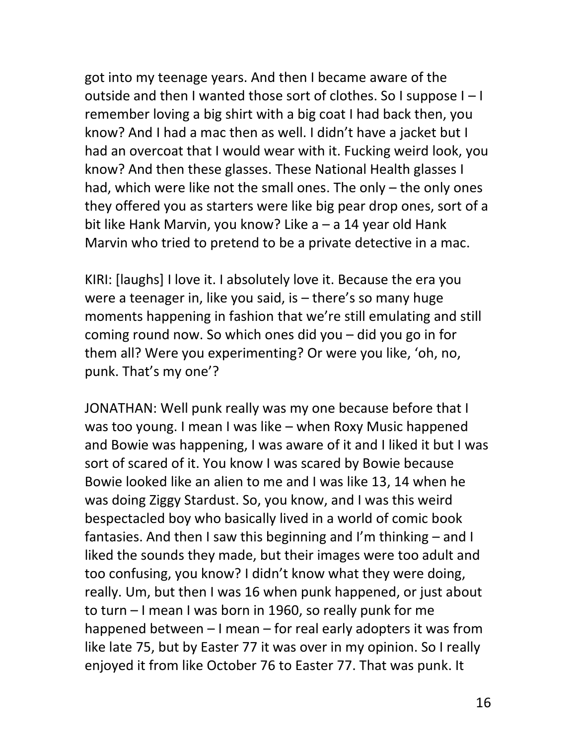got into my teenage years. And then I became aware of the outside and then I wanted those sort of clothes. So I suppose I – I remember loving a big shirt with a big coat I had back then, you know? And I had a mac then as well. I didn't have a jacket but I had an overcoat that I would wear with it. Fucking weird look, you know? And then these glasses. These National Health glasses I had, which were like not the small ones. The only – the only ones they offered you as starters were like big pear drop ones, sort of a bit like Hank Marvin, you know? Like a – a 14 year old Hank Marvin who tried to pretend to be a private detective in a mac.

KIRI: [laughs] I love it. I absolutely love it. Because the era you were a teenager in, like you said, is – there's so many huge moments happening in fashion that we're still emulating and still coming round now. So which ones did you – did you go in for them all? Were you experimenting? Or were you like, 'oh, no, punk. That's my one'?

JONATHAN: Well punk really was my one because before that I was too young. I mean I was like – when Roxy Music happened and Bowie was happening, I was aware of it and I liked it but I was sort of scared of it. You know I was scared by Bowie because Bowie looked like an alien to me and I was like 13, 14 when he was doing Ziggy Stardust. So, you know, and I was this weird bespectacled boy who basically lived in a world of comic book fantasies. And then I saw this beginning and I'm thinking – and I liked the sounds they made, but their images were too adult and too confusing, you know? I didn't know what they were doing, really. Um, but then I was 16 when punk happened, or just about to turn – I mean I was born in 1960, so really punk for me happened between – I mean – for real early adopters it was from like late 75, but by Easter 77 it was over in my opinion. So I really enjoyed it from like October 76 to Easter 77. That was punk. It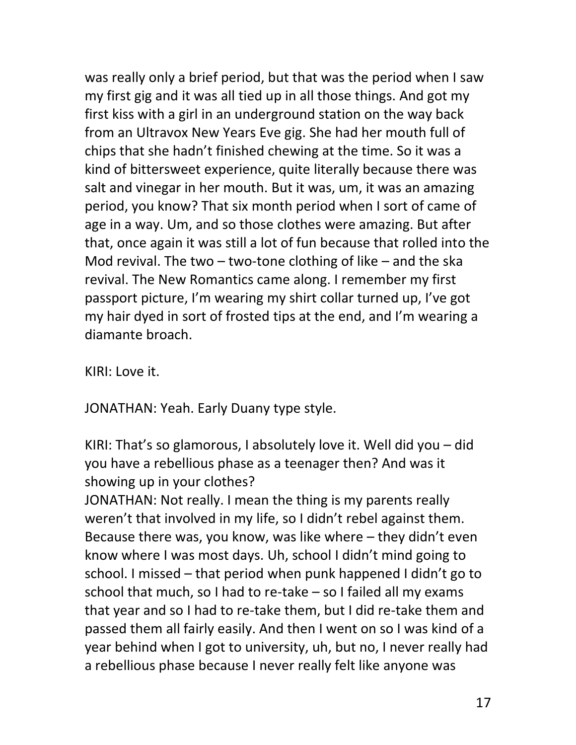was really only a brief period, but that was the period when I saw my first gig and it was all tied up in all those things. And got my first kiss with a girl in an underground station on the way back from an Ultravox New Years Eve gig. She had her mouth full of chips that she hadn't finished chewing at the time. So it was a kind of bittersweet experience, quite literally because there was salt and vinegar in her mouth. But it was, um, it was an amazing period, you know? That six month period when I sort of came of age in a way. Um, and so those clothes were amazing. But after that, once again it was still a lot of fun because that rolled into the Mod revival. The two  $-$  two-tone clothing of like  $-$  and the ska revival. The New Romantics came along. I remember my first passport picture, I'm wearing my shirt collar turned up, I've got my hair dyed in sort of frosted tips at the end, and I'm wearing a diamante broach.

KIRI: Love it.

JONATHAN: Yeah. Early Duany type style.

KIRI: That's so glamorous, I absolutely love it. Well did you – did you have a rebellious phase as a teenager then? And was it showing up in your clothes?

JONATHAN: Not really. I mean the thing is my parents really weren't that involved in my life, so I didn't rebel against them. Because there was, you know, was like where – they didn't even know where I was most days. Uh, school I didn't mind going to school. I missed – that period when punk happened I didn't go to school that much, so I had to re-take – so I failed all my exams that year and so I had to re-take them, but I did re-take them and passed them all fairly easily. And then I went on so I was kind of a year behind when I got to university, uh, but no, I never really had a rebellious phase because I never really felt like anyone was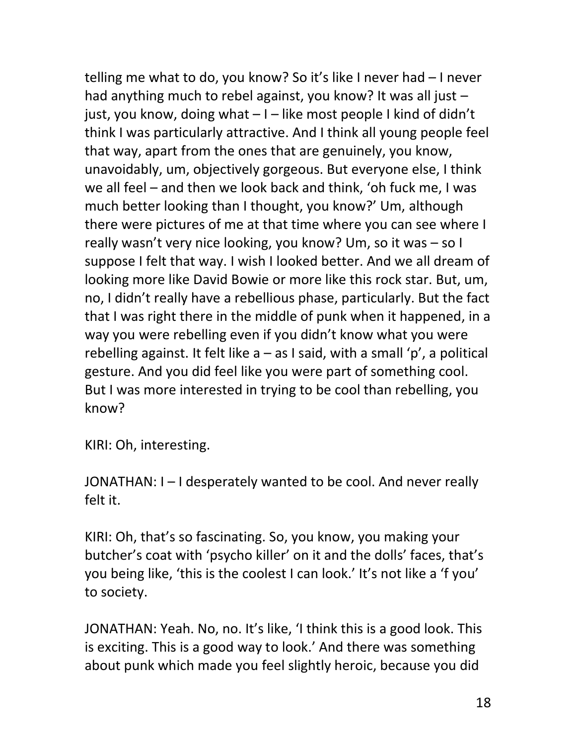telling me what to do, you know? So it's like I never had – I never had anything much to rebel against, you know? It was all just just, you know, doing what  $-1$  – like most people I kind of didn't think I was particularly attractive. And I think all young people feel that way, apart from the ones that are genuinely, you know, unavoidably, um, objectively gorgeous. But everyone else, I think we all feel – and then we look back and think, 'oh fuck me, I was much better looking than I thought, you know?' Um, although there were pictures of me at that time where you can see where I really wasn't very nice looking, you know? Um, so it was – so I suppose I felt that way. I wish I looked better. And we all dream of looking more like David Bowie or more like this rock star. But, um, no, I didn't really have a rebellious phase, particularly. But the fact that I was right there in the middle of punk when it happened, in a way you were rebelling even if you didn't know what you were rebelling against. It felt like  $a - as 1$  said, with a small 'p', a political gesture. And you did feel like you were part of something cool. But I was more interested in trying to be cool than rebelling, you know?

KIRI: Oh, interesting.

JONATHAN: I – I desperately wanted to be cool. And never really felt it.

KIRI: Oh, that's so fascinating. So, you know, you making your butcher's coat with 'psycho killer' on it and the dolls' faces, that's you being like, 'this is the coolest I can look.' It's not like a 'f you' to society.

JONATHAN: Yeah. No, no. It's like, 'I think this is a good look. This is exciting. This is a good way to look.' And there was something about punk which made you feel slightly heroic, because you did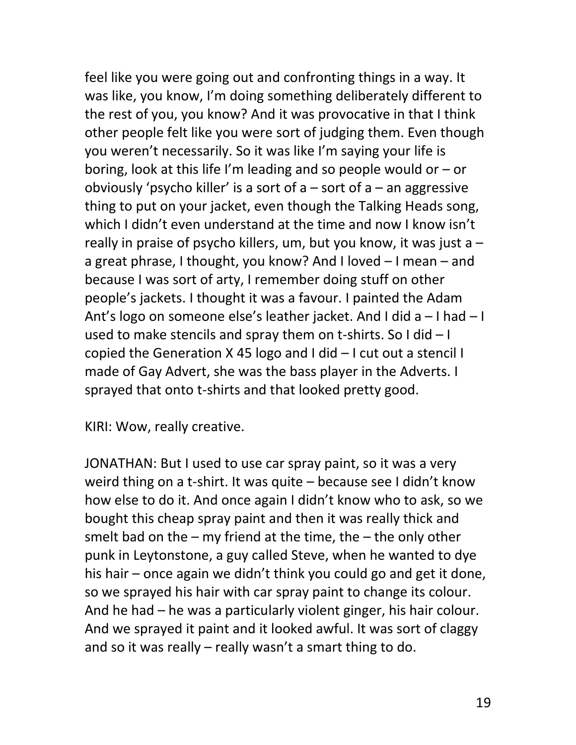feel like you were going out and confronting things in a way. It was like, you know, I'm doing something deliberately different to the rest of you, you know? And it was provocative in that I think other people felt like you were sort of judging them. Even though you weren't necessarily. So it was like I'm saying your life is boring, look at this life I'm leading and so people would or – or obviously 'psycho killer' is a sort of  $a$  – sort of  $a$  – an aggressive thing to put on your jacket, even though the Talking Heads song, which I didn't even understand at the time and now I know isn't really in praise of psycho killers, um, but you know, it was just  $a$ a great phrase, I thought, you know? And I loved – I mean – and because I was sort of arty, I remember doing stuff on other people's jackets. I thought it was a favour. I painted the Adam Ant's logo on someone else's leather jacket. And I did a – I had – I used to make stencils and spray them on t-shirts. So I did – I copied the Generation X 45 logo and I did – I cut out a stencil I made of Gay Advert, she was the bass player in the Adverts. I sprayed that onto t-shirts and that looked pretty good.

KIRI: Wow, really creative.

JONATHAN: But I used to use car spray paint, so it was a very weird thing on a t-shirt. It was quite – because see I didn't know how else to do it. And once again I didn't know who to ask, so we bought this cheap spray paint and then it was really thick and smelt bad on the – my friend at the time, the – the only other punk in Leytonstone, a guy called Steve, when he wanted to dye his hair – once again we didn't think you could go and get it done, so we sprayed his hair with car spray paint to change its colour. And he had – he was a particularly violent ginger, his hair colour. And we sprayed it paint and it looked awful. It was sort of claggy and so it was really – really wasn't a smart thing to do.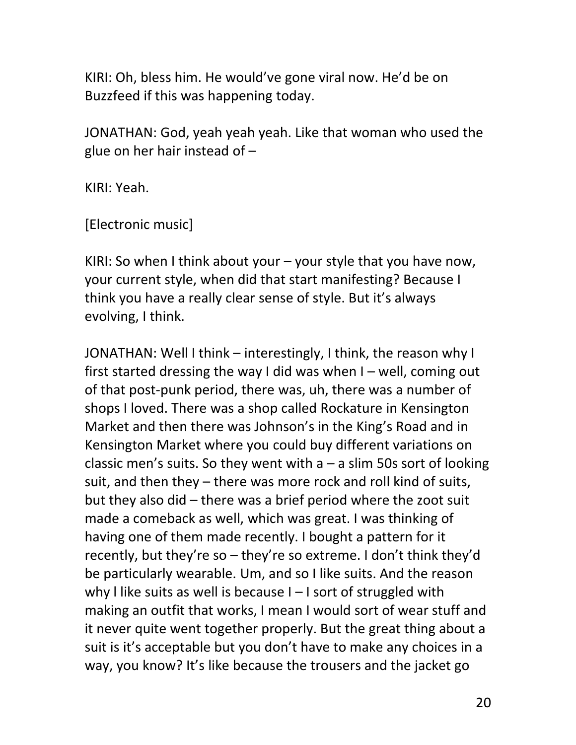KIRI: Oh, bless him. He would've gone viral now. He'd be on Buzzfeed if this was happening today.

JONATHAN: God, yeah yeah yeah. Like that woman who used the glue on her hair instead of –

KIRI: Yeah.

[Electronic music]

KIRI: So when I think about your  $-$  your style that you have now, your current style, when did that start manifesting? Because I think you have a really clear sense of style. But it's always evolving, I think.

JONATHAN: Well I think – interestingly, I think, the reason why I first started dressing the way I did was when I – well, coming out of that post-punk period, there was, uh, there was a number of shops I loved. There was a shop called Rockature in Kensington Market and then there was Johnson's in the King's Road and in Kensington Market where you could buy different variations on classic men's suits. So they went with  $a - a$  slim 50s sort of looking suit, and then they – there was more rock and roll kind of suits, but they also did – there was a brief period where the zoot suit made a comeback as well, which was great. I was thinking of having one of them made recently. I bought a pattern for it recently, but they're so – they're so extreme. I don't think they'd be particularly wearable. Um, and so I like suits. And the reason why I like suits as well is because  $I - I$  sort of struggled with making an outfit that works, I mean I would sort of wear stuff and it never quite went together properly. But the great thing about a suit is it's acceptable but you don't have to make any choices in a way, you know? It's like because the trousers and the jacket go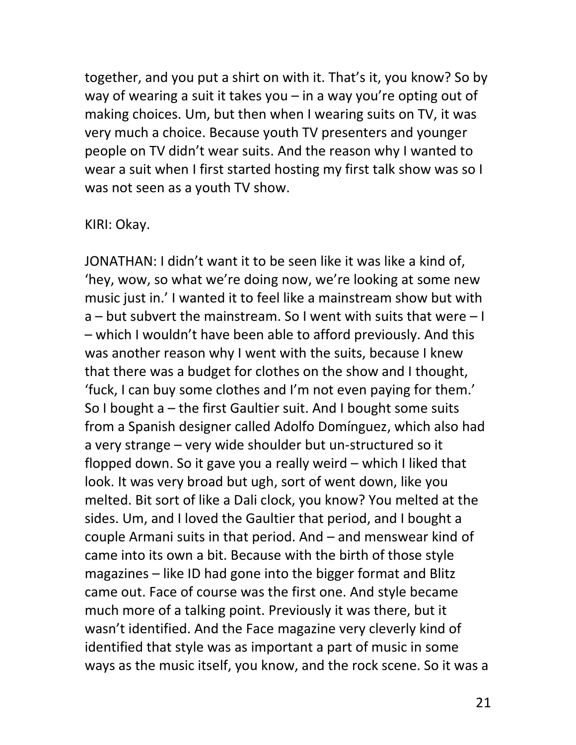together, and you put a shirt on with it. That's it, you know? So by way of wearing a suit it takes you – in a way you're opting out of making choices. Um, but then when I wearing suits on TV, it was very much a choice. Because youth TV presenters and younger people on TV didn't wear suits. And the reason why I wanted to wear a suit when I first started hosting my first talk show was so I was not seen as a youth TV show.

#### KIRI: Okay.

JONATHAN: I didn't want it to be seen like it was like a kind of, 'hey, wow, so what we're doing now, we're looking at some new music just in.' I wanted it to feel like a mainstream show but with a – but subvert the mainstream. So I went with suits that were – I – which I wouldn't have been able to afford previously. And this was another reason why I went with the suits, because I knew that there was a budget for clothes on the show and I thought, 'fuck, I can buy some clothes and I'm not even paying for them.' So I bought a – the first Gaultier suit. And I bought some suits from a Spanish designer called Adolfo Domínguez, which also had a very strange – very wide shoulder but un-structured so it flopped down. So it gave you a really weird – which I liked that look. It was very broad but ugh, sort of went down, like you melted. Bit sort of like a Dali clock, you know? You melted at the sides. Um, and I loved the Gaultier that period, and I bought a couple Armani suits in that period. And – and menswear kind of came into its own a bit. Because with the birth of those style magazines – like ID had gone into the bigger format and Blitz came out. Face of course was the first one. And style became much more of a talking point. Previously it was there, but it wasn't identified. And the Face magazine very cleverly kind of identified that style was as important a part of music in some ways as the music itself, you know, and the rock scene. So it was a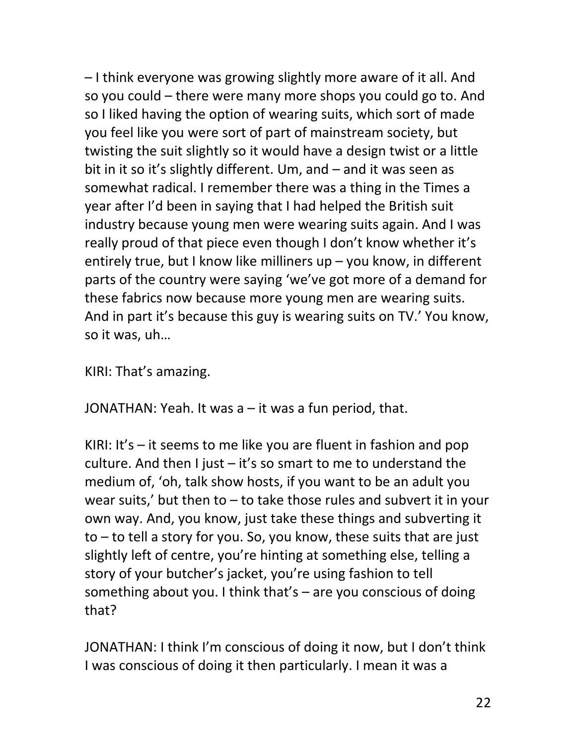– I think everyone was growing slightly more aware of it all. And so you could – there were many more shops you could go to. And so I liked having the option of wearing suits, which sort of made you feel like you were sort of part of mainstream society, but twisting the suit slightly so it would have a design twist or a little bit in it so it's slightly different. Um, and – and it was seen as somewhat radical. I remember there was a thing in the Times a year after I'd been in saying that I had helped the British suit industry because young men were wearing suits again. And I was really proud of that piece even though I don't know whether it's entirely true, but I know like milliners up – you know, in different parts of the country were saying 'we've got more of a demand for these fabrics now because more young men are wearing suits. And in part it's because this guy is wearing suits on TV.' You know, so it was, uh…

KIRI: That's amazing.

JONATHAN: Yeah. It was a – it was a fun period, that.

KIRI: It's – it seems to me like you are fluent in fashion and pop culture. And then I just  $-$  it's so smart to me to understand the medium of, 'oh, talk show hosts, if you want to be an adult you wear suits,' but then to  $-$  to take those rules and subvert it in your own way. And, you know, just take these things and subverting it to – to tell a story for you. So, you know, these suits that are just slightly left of centre, you're hinting at something else, telling a story of your butcher's jacket, you're using fashion to tell something about you. I think that's – are you conscious of doing that?

JONATHAN: I think I'm conscious of doing it now, but I don't think I was conscious of doing it then particularly. I mean it was a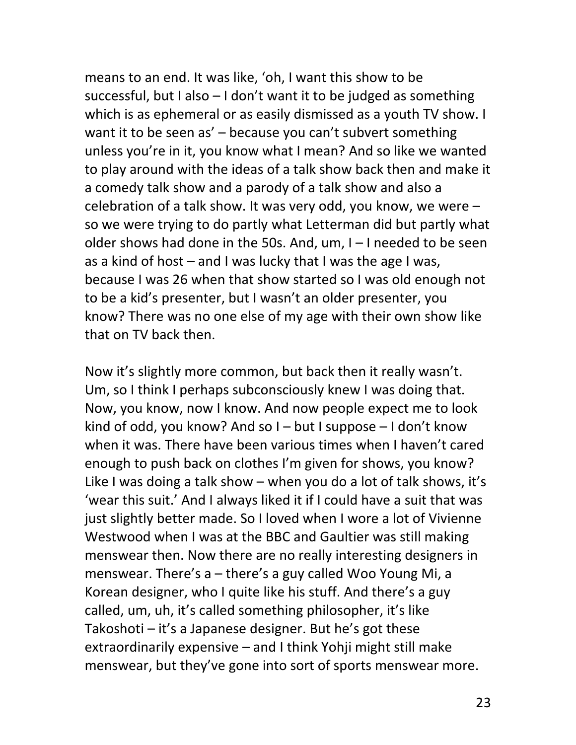means to an end. It was like, 'oh, I want this show to be successful, but I also – I don't want it to be judged as something which is as ephemeral or as easily dismissed as a youth TV show. I want it to be seen as' – because you can't subvert something unless you're in it, you know what I mean? And so like we wanted to play around with the ideas of a talk show back then and make it a comedy talk show and a parody of a talk show and also a celebration of a talk show. It was very odd, you know, we were – so we were trying to do partly what Letterman did but partly what older shows had done in the 50s. And, um, I – I needed to be seen as a kind of host – and I was lucky that I was the age I was, because I was 26 when that show started so I was old enough not to be a kid's presenter, but I wasn't an older presenter, you know? There was no one else of my age with their own show like that on TV back then.

Now it's slightly more common, but back then it really wasn't. Um, so I think I perhaps subconsciously knew I was doing that. Now, you know, now I know. And now people expect me to look kind of odd, you know? And so I – but I suppose – I don't know when it was. There have been various times when I haven't cared enough to push back on clothes I'm given for shows, you know? Like I was doing a talk show – when you do a lot of talk shows, it's 'wear this suit.' And I always liked it if I could have a suit that was just slightly better made. So I loved when I wore a lot of Vivienne Westwood when I was at the BBC and Gaultier was still making menswear then. Now there are no really interesting designers in menswear. There's a – there's a guy called Woo Young Mi, a Korean designer, who I quite like his stuff. And there's a guy called, um, uh, it's called something philosopher, it's like Takoshoti – it's a Japanese designer. But he's got these extraordinarily expensive – and I think Yohji might still make menswear, but they've gone into sort of sports menswear more.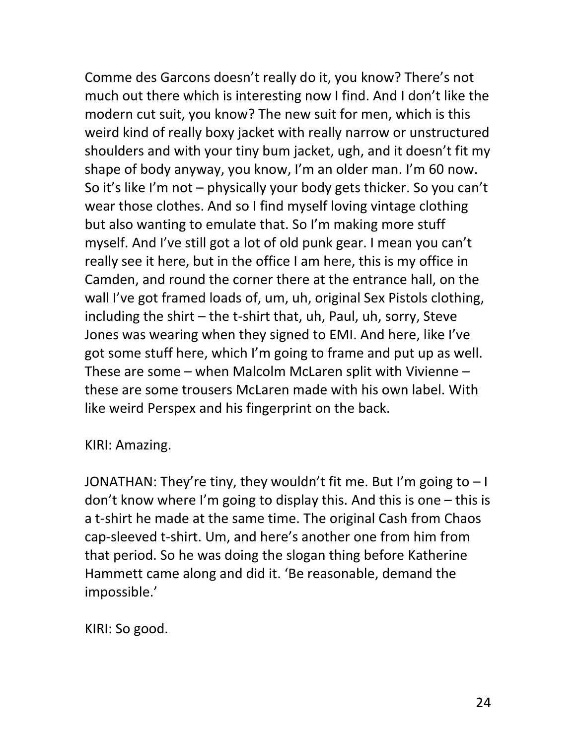Comme des Garcons doesn't really do it, you know? There's not much out there which is interesting now I find. And I don't like the modern cut suit, you know? The new suit for men, which is this weird kind of really boxy jacket with really narrow or unstructured shoulders and with your tiny bum jacket, ugh, and it doesn't fit my shape of body anyway, you know, I'm an older man. I'm 60 now. So it's like I'm not – physically your body gets thicker. So you can't wear those clothes. And so I find myself loving vintage clothing but also wanting to emulate that. So I'm making more stuff myself. And I've still got a lot of old punk gear. I mean you can't really see it here, but in the office I am here, this is my office in Camden, and round the corner there at the entrance hall, on the wall I've got framed loads of, um, uh, original Sex Pistols clothing, including the shirt – the t-shirt that, uh, Paul, uh, sorry, Steve Jones was wearing when they signed to EMI. And here, like I've got some stuff here, which I'm going to frame and put up as well. These are some – when Malcolm McLaren split with Vivienne – these are some trousers McLaren made with his own label. With like weird Perspex and his fingerprint on the back.

KIRI: Amazing.

JONATHAN: They're tiny, they wouldn't fit me. But I'm going to  $-1$ don't know where I'm going to display this. And this is one – this is a t-shirt he made at the same time. The original Cash from Chaos cap-sleeved t-shirt. Um, and here's another one from him from that period. So he was doing the slogan thing before Katherine Hammett came along and did it. 'Be reasonable, demand the impossible.'

KIRI: So good.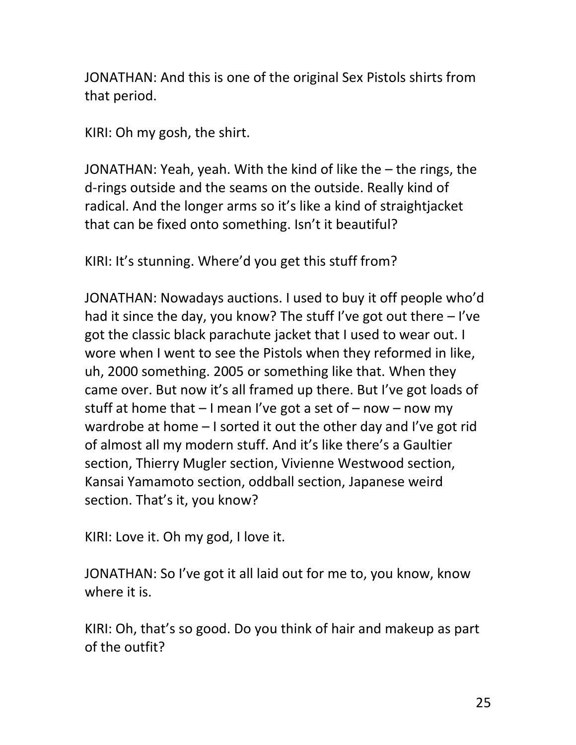JONATHAN: And this is one of the original Sex Pistols shirts from that period.

KIRI: Oh my gosh, the shirt.

JONATHAN: Yeah, yeah. With the kind of like the – the rings, the d-rings outside and the seams on the outside. Really kind of radical. And the longer arms so it's like a kind of straightjacket that can be fixed onto something. Isn't it beautiful?

KIRI: It's stunning. Where'd you get this stuff from?

JONATHAN: Nowadays auctions. I used to buy it off people who'd had it since the day, you know? The stuff I've got out there – I've got the classic black parachute jacket that I used to wear out. I wore when I went to see the Pistols when they reformed in like, uh, 2000 something. 2005 or something like that. When they came over. But now it's all framed up there. But I've got loads of stuff at home that  $-1$  mean I've got a set of  $-$  now  $-$  now my wardrobe at home – I sorted it out the other day and I've got rid of almost all my modern stuff. And it's like there's a Gaultier section, Thierry Mugler section, Vivienne Westwood section, Kansai Yamamoto section, oddball section, Japanese weird section. That's it, you know?

KIRI: Love it. Oh my god, I love it.

JONATHAN: So I've got it all laid out for me to, you know, know where it is.

KIRI: Oh, that's so good. Do you think of hair and makeup as part of the outfit?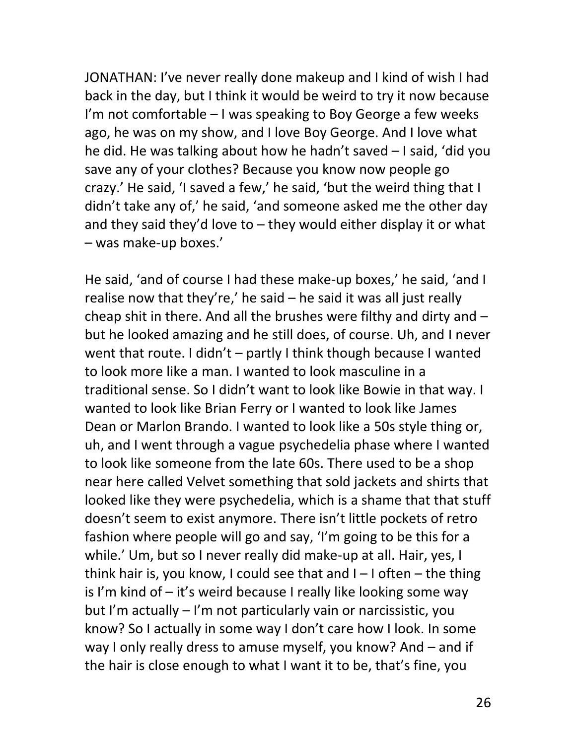JONATHAN: I've never really done makeup and I kind of wish I had back in the day, but I think it would be weird to try it now because I'm not comfortable – I was speaking to Boy George a few weeks ago, he was on my show, and I love Boy George. And I love what he did. He was talking about how he hadn't saved – I said, 'did you save any of your clothes? Because you know now people go crazy.' He said, 'I saved a few,' he said, 'but the weird thing that I didn't take any of,' he said, 'and someone asked me the other day and they said they'd love to  $-$  they would either display it or what – was make-up boxes.'

He said, 'and of course I had these make-up boxes,' he said, 'and I realise now that they're,' he said  $-$  he said it was all just really cheap shit in there. And all the brushes were filthy and dirty and  $$ but he looked amazing and he still does, of course. Uh, and I never went that route. I didn't – partly I think though because I wanted to look more like a man. I wanted to look masculine in a traditional sense. So I didn't want to look like Bowie in that way. I wanted to look like Brian Ferry or I wanted to look like James Dean or Marlon Brando. I wanted to look like a 50s style thing or, uh, and I went through a vague psychedelia phase where I wanted to look like someone from the late 60s. There used to be a shop near here called Velvet something that sold jackets and shirts that looked like they were psychedelia, which is a shame that that stuff doesn't seem to exist anymore. There isn't little pockets of retro fashion where people will go and say, 'I'm going to be this for a while.' Um, but so I never really did make-up at all. Hair, yes, I think hair is, you know, I could see that and  $I-I$  often – the thing is I'm kind of – it's weird because I really like looking some way but I'm actually – I'm not particularly vain or narcissistic, you know? So I actually in some way I don't care how I look. In some way I only really dress to amuse myself, you know? And – and if the hair is close enough to what I want it to be, that's fine, you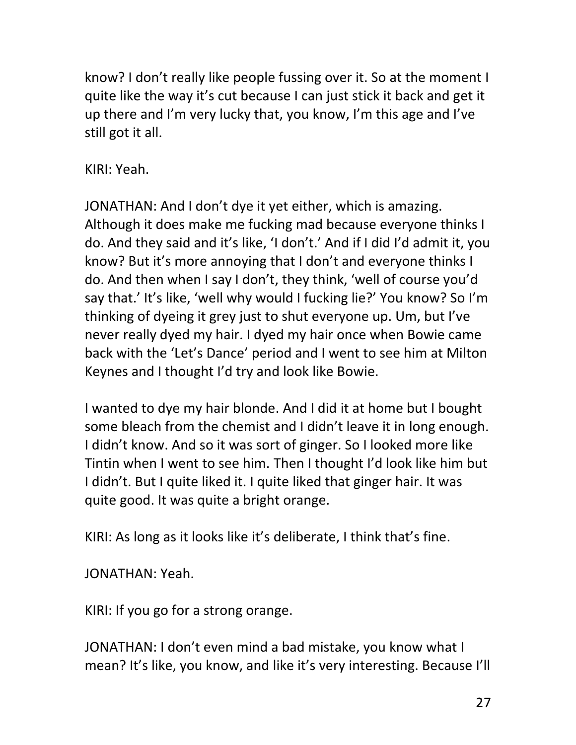know? I don't really like people fussing over it. So at the moment I quite like the way it's cut because I can just stick it back and get it up there and I'm very lucky that, you know, I'm this age and I've still got it all.

KIRI: Yeah.

JONATHAN: And I don't dye it yet either, which is amazing. Although it does make me fucking mad because everyone thinks I do. And they said and it's like, 'I don't.' And if I did I'd admit it, you know? But it's more annoying that I don't and everyone thinks I do. And then when I say I don't, they think, 'well of course you'd say that.' It's like, 'well why would I fucking lie?' You know? So I'm thinking of dyeing it grey just to shut everyone up. Um, but I've never really dyed my hair. I dyed my hair once when Bowie came back with the 'Let's Dance' period and I went to see him at Milton Keynes and I thought I'd try and look like Bowie.

I wanted to dye my hair blonde. And I did it at home but I bought some bleach from the chemist and I didn't leave it in long enough. I didn't know. And so it was sort of ginger. So I looked more like Tintin when I went to see him. Then I thought I'd look like him but I didn't. But I quite liked it. I quite liked that ginger hair. It was quite good. It was quite a bright orange.

KIRI: As long as it looks like it's deliberate, I think that's fine.

JONATHAN: Yeah.

KIRI: If you go for a strong orange.

JONATHAN: I don't even mind a bad mistake, you know what I mean? It's like, you know, and like it's very interesting. Because I'll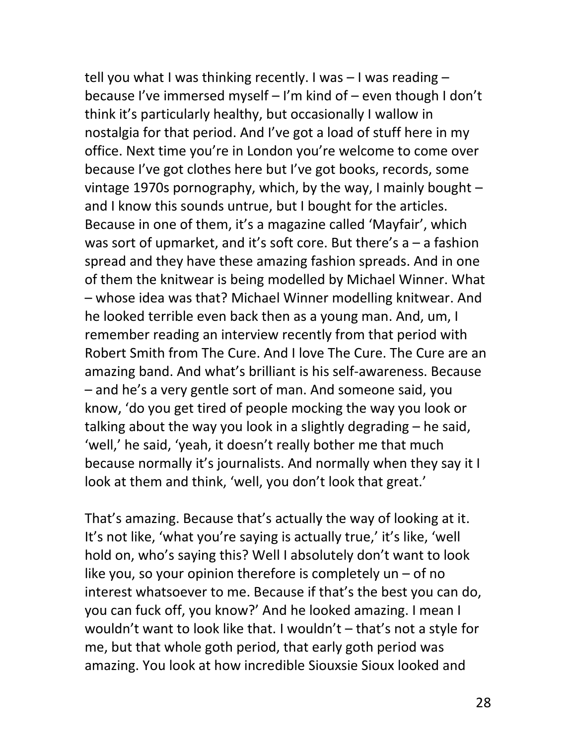tell you what I was thinking recently. I was – I was reading – because I've immersed myself – I'm kind of – even though I don't think it's particularly healthy, but occasionally I wallow in nostalgia for that period. And I've got a load of stuff here in my office. Next time you're in London you're welcome to come over because I've got clothes here but I've got books, records, some vintage 1970s pornography, which, by the way, I mainly bought – and I know this sounds untrue, but I bought for the articles. Because in one of them, it's a magazine called 'Mayfair', which was sort of upmarket, and it's soft core. But there's  $a - a$  fashion spread and they have these amazing fashion spreads. And in one of them the knitwear is being modelled by Michael Winner. What – whose idea was that? Michael Winner modelling knitwear. And he looked terrible even back then as a young man. And, um, I remember reading an interview recently from that period with Robert Smith from The Cure. And I love The Cure. The Cure are an amazing band. And what's brilliant is his self-awareness. Because – and he's a very gentle sort of man. And someone said, you know, 'do you get tired of people mocking the way you look or talking about the way you look in a slightly degrading – he said, 'well,' he said, 'yeah, it doesn't really bother me that much because normally it's journalists. And normally when they say it I look at them and think, 'well, you don't look that great.'

That's amazing. Because that's actually the way of looking at it. It's not like, 'what you're saying is actually true,' it's like, 'well hold on, who's saying this? Well I absolutely don't want to look like you, so your opinion therefore is completely  $un - of no$ interest whatsoever to me. Because if that's the best you can do, you can fuck off, you know?' And he looked amazing. I mean I wouldn't want to look like that. I wouldn't – that's not a style for me, but that whole goth period, that early goth period was amazing. You look at how incredible Siouxsie Sioux looked and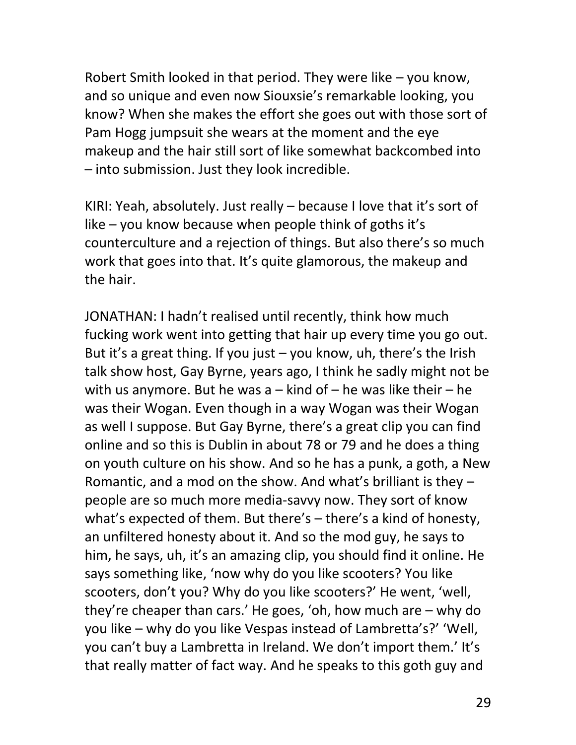Robert Smith looked in that period. They were like – you know, and so unique and even now Siouxsie's remarkable looking, you know? When she makes the effort she goes out with those sort of Pam Hogg jumpsuit she wears at the moment and the eye makeup and the hair still sort of like somewhat backcombed into – into submission. Just they look incredible.

KIRI: Yeah, absolutely. Just really – because I love that it's sort of like – you know because when people think of goths it's counterculture and a rejection of things. But also there's so much work that goes into that. It's quite glamorous, the makeup and the hair.

JONATHAN: I hadn't realised until recently, think how much fucking work went into getting that hair up every time you go out. But it's a great thing. If you just – you know, uh, there's the Irish talk show host, Gay Byrne, years ago, I think he sadly might not be with us anymore. But he was  $a - k$  ind of  $-$  he was like their  $-$  he was their Wogan. Even though in a way Wogan was their Wogan as well I suppose. But Gay Byrne, there's a great clip you can find online and so this is Dublin in about 78 or 79 and he does a thing on youth culture on his show. And so he has a punk, a goth, a New Romantic, and a mod on the show. And what's brilliant is they – people are so much more media-savvy now. They sort of know what's expected of them. But there's – there's a kind of honesty, an unfiltered honesty about it. And so the mod guy, he says to him, he says, uh, it's an amazing clip, you should find it online. He says something like, 'now why do you like scooters? You like scooters, don't you? Why do you like scooters?' He went, 'well, they're cheaper than cars.' He goes, 'oh, how much are – why do you like – why do you like Vespas instead of Lambretta's?' 'Well, you can't buy a Lambretta in Ireland. We don't import them.' It's that really matter of fact way. And he speaks to this goth guy and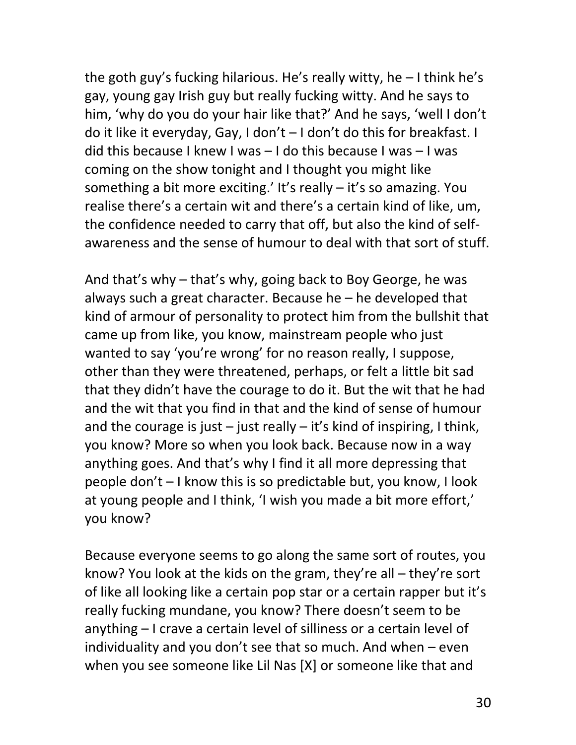the goth guy's fucking hilarious. He's really witty, he – I think he's gay, young gay Irish guy but really fucking witty. And he says to him, 'why do you do your hair like that?' And he says, 'well I don't do it like it everyday, Gay, I don't – I don't do this for breakfast. I did this because I knew I was – I do this because I was – I was coming on the show tonight and I thought you might like something a bit more exciting.' It's really – it's so amazing. You realise there's a certain wit and there's a certain kind of like, um, the confidence needed to carry that off, but also the kind of selfawareness and the sense of humour to deal with that sort of stuff.

And that's why – that's why, going back to Boy George, he was always such a great character. Because he – he developed that kind of armour of personality to protect him from the bullshit that came up from like, you know, mainstream people who just wanted to say 'you're wrong' for no reason really, I suppose, other than they were threatened, perhaps, or felt a little bit sad that they didn't have the courage to do it. But the wit that he had and the wit that you find in that and the kind of sense of humour and the courage is just  $-$  just really  $-$  it's kind of inspiring, I think, you know? More so when you look back. Because now in a way anything goes. And that's why I find it all more depressing that people don't – I know this is so predictable but, you know, I look at young people and I think, 'I wish you made a bit more effort,' you know?

Because everyone seems to go along the same sort of routes, you know? You look at the kids on the gram, they're all – they're sort of like all looking like a certain pop star or a certain rapper but it's really fucking mundane, you know? There doesn't seem to be anything – I crave a certain level of silliness or a certain level of individuality and you don't see that so much. And when – even when you see someone like Lil Nas [X] or someone like that and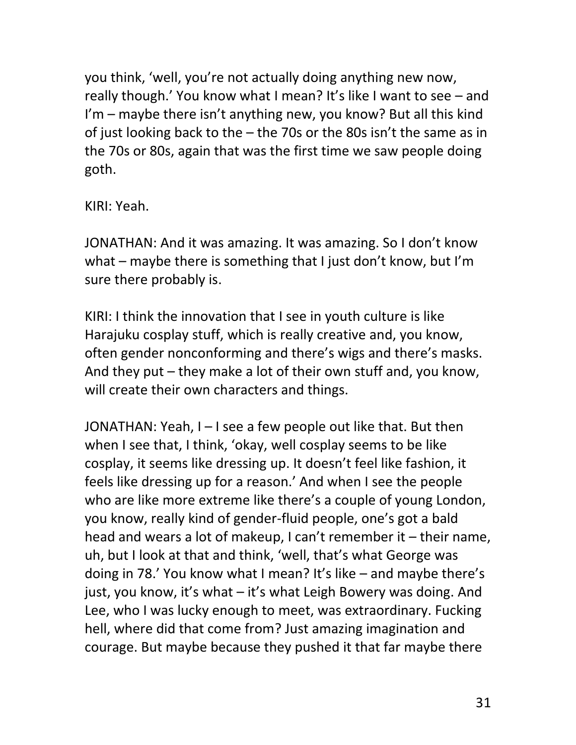you think, 'well, you're not actually doing anything new now, really though.' You know what I mean? It's like I want to see – and I'm – maybe there isn't anything new, you know? But all this kind of just looking back to the – the 70s or the 80s isn't the same as in the 70s or 80s, again that was the first time we saw people doing goth.

KIRI: Yeah.

JONATHAN: And it was amazing. It was amazing. So I don't know what – maybe there is something that I just don't know, but I'm sure there probably is.

KIRI: I think the innovation that I see in youth culture is like Harajuku cosplay stuff, which is really creative and, you know, often gender nonconforming and there's wigs and there's masks. And they put – they make a lot of their own stuff and, you know, will create their own characters and things.

JONATHAN: Yeah, I – I see a few people out like that. But then when I see that, I think, 'okay, well cosplay seems to be like cosplay, it seems like dressing up. It doesn't feel like fashion, it feels like dressing up for a reason.' And when I see the people who are like more extreme like there's a couple of young London, you know, really kind of gender-fluid people, one's got a bald head and wears a lot of makeup, I can't remember it – their name, uh, but I look at that and think, 'well, that's what George was doing in 78.' You know what I mean? It's like – and maybe there's just, you know, it's what – it's what Leigh Bowery was doing. And Lee, who I was lucky enough to meet, was extraordinary. Fucking hell, where did that come from? Just amazing imagination and courage. But maybe because they pushed it that far maybe there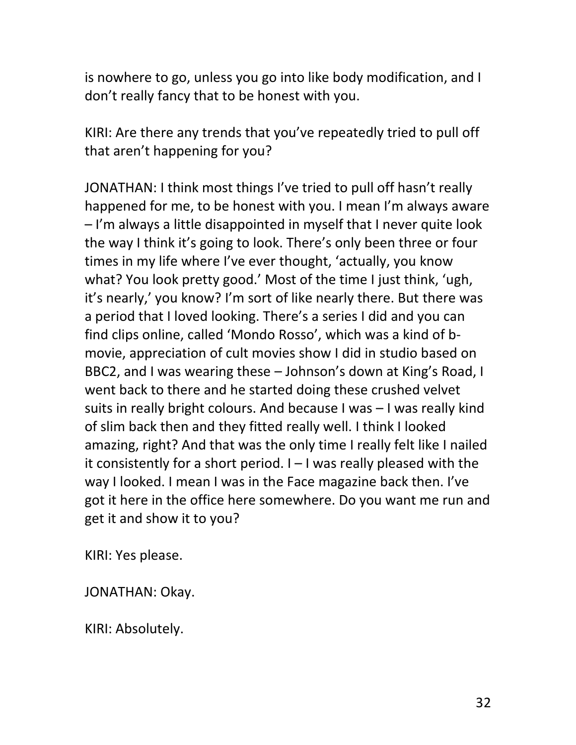is nowhere to go, unless you go into like body modification, and I don't really fancy that to be honest with you.

KIRI: Are there any trends that you've repeatedly tried to pull off that aren't happening for you?

JONATHAN: I think most things I've tried to pull off hasn't really happened for me, to be honest with you. I mean I'm always aware – I'm always a little disappointed in myself that I never quite look the way I think it's going to look. There's only been three or four times in my life where I've ever thought, 'actually, you know what? You look pretty good.' Most of the time I just think, 'ugh, it's nearly,' you know? I'm sort of like nearly there. But there was a period that I loved looking. There's a series I did and you can find clips online, called 'Mondo Rosso', which was a kind of bmovie, appreciation of cult movies show I did in studio based on BBC2, and I was wearing these – Johnson's down at King's Road, I went back to there and he started doing these crushed velvet suits in really bright colours. And because I was – I was really kind of slim back then and they fitted really well. I think I looked amazing, right? And that was the only time I really felt like I nailed it consistently for a short period. I – I was really pleased with the way I looked. I mean I was in the Face magazine back then. I've got it here in the office here somewhere. Do you want me run and get it and show it to you?

KIRI: Yes please.

JONATHAN: Okay.

KIRI: Absolutely.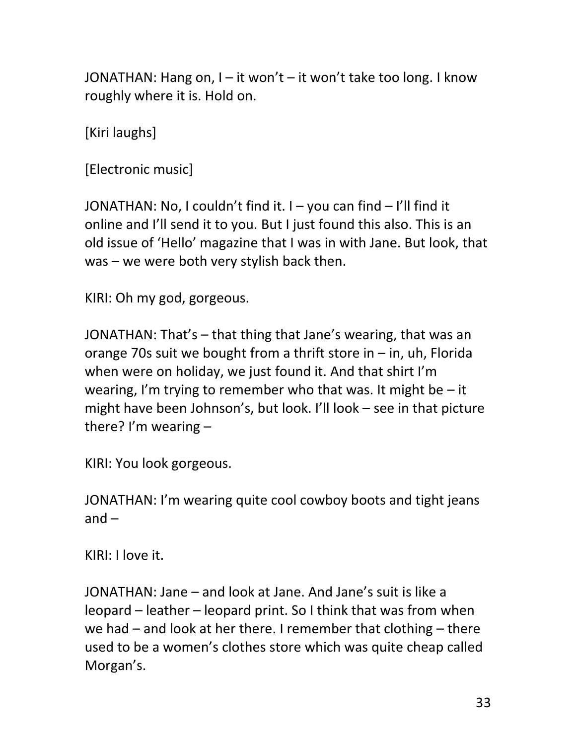JONATHAN: Hang on, I – it won't – it won't take too long. I know roughly where it is. Hold on.

[Kiri laughs]

[Electronic music]

JONATHAN: No, I couldn't find it. I – you can find – I'll find it online and I'll send it to you. But I just found this also. This is an old issue of 'Hello' magazine that I was in with Jane. But look, that was – we were both very stylish back then.

KIRI: Oh my god, gorgeous.

JONATHAN: That's – that thing that Jane's wearing, that was an orange 70s suit we bought from a thrift store in – in, uh, Florida when were on holiday, we just found it. And that shirt I'm wearing, I'm trying to remember who that was. It might be  $-$  it might have been Johnson's, but look. I'll look – see in that picture there? I'm wearing –

KIRI: You look gorgeous.

JONATHAN: I'm wearing quite cool cowboy boots and tight jeans  $and -$ 

KIRI: I love it.

JONATHAN: Jane – and look at Jane. And Jane's suit is like a leopard – leather – leopard print. So I think that was from when we had – and look at her there. I remember that clothing – there used to be a women's clothes store which was quite cheap called Morgan's.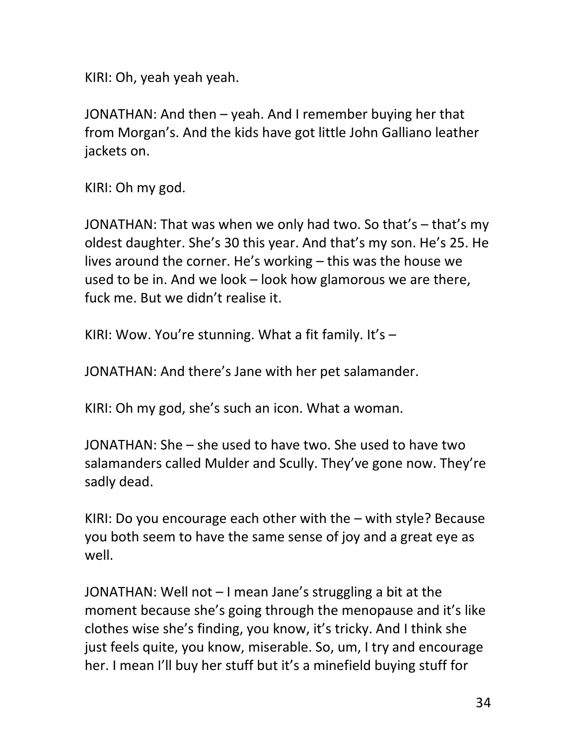KIRI: Oh, yeah yeah yeah.

JONATHAN: And then – yeah. And I remember buying her that from Morgan's. And the kids have got little John Galliano leather jackets on.

KIRI: Oh my god.

JONATHAN: That was when we only had two. So that's – that's my oldest daughter. She's 30 this year. And that's my son. He's 25. He lives around the corner. He's working – this was the house we used to be in. And we look – look how glamorous we are there, fuck me. But we didn't realise it.

KIRI: Wow. You're stunning. What a fit family. It's  $-$ 

JONATHAN: And there's Jane with her pet salamander.

KIRI: Oh my god, she's such an icon. What a woman.

JONATHAN: She – she used to have two. She used to have two salamanders called Mulder and Scully. They've gone now. They're sadly dead.

KIRI: Do you encourage each other with the – with style? Because you both seem to have the same sense of joy and a great eye as well.

JONATHAN: Well not – I mean Jane's struggling a bit at the moment because she's going through the menopause and it's like clothes wise she's finding, you know, it's tricky. And I think she just feels quite, you know, miserable. So, um, I try and encourage her. I mean I'll buy her stuff but it's a minefield buying stuff for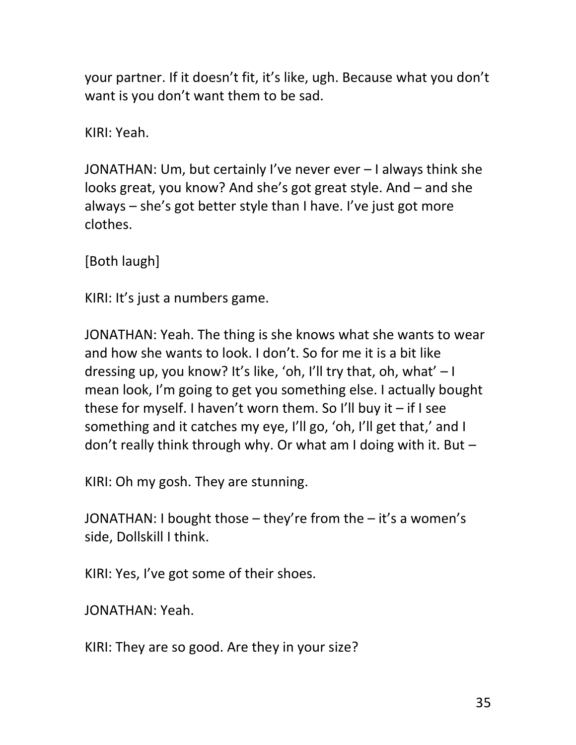your partner. If it doesn't fit, it's like, ugh. Because what you don't want is you don't want them to be sad.

KIRI: Yeah.

JONATHAN: Um, but certainly I've never ever – I always think she looks great, you know? And she's got great style. And – and she always – she's got better style than I have. I've just got more clothes.

[Both laugh]

KIRI: It's just a numbers game.

JONATHAN: Yeah. The thing is she knows what she wants to wear and how she wants to look. I don't. So for me it is a bit like dressing up, you know? It's like, 'oh, I'll try that, oh, what' – I mean look, I'm going to get you something else. I actually bought these for myself. I haven't worn them. So I'll buy it  $-$  if I see something and it catches my eye, I'll go, 'oh, I'll get that,' and I don't really think through why. Or what am I doing with it. But –

KIRI: Oh my gosh. They are stunning.

JONATHAN: I bought those – they're from the – it's a women's side, Dollskill I think.

KIRI: Yes, I've got some of their shoes.

JONATHAN: Yeah.

KIRI: They are so good. Are they in your size?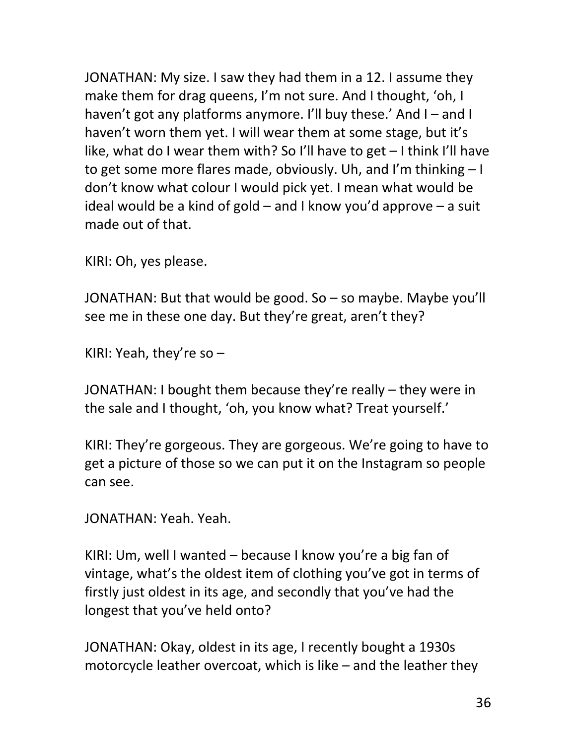JONATHAN: My size. I saw they had them in a 12. I assume they make them for drag queens, I'm not sure. And I thought, 'oh, I haven't got any platforms anymore. I'll buy these.' And I – and I haven't worn them yet. I will wear them at some stage, but it's like, what do I wear them with? So I'll have to get – I think I'll have to get some more flares made, obviously. Uh, and I'm thinking – I don't know what colour I would pick yet. I mean what would be ideal would be a kind of gold  $-$  and I know you'd approve  $-$  a suit made out of that.

KIRI: Oh, yes please.

JONATHAN: But that would be good. So – so maybe. Maybe you'll see me in these one day. But they're great, aren't they?

KIRI: Yeah, they're so –

JONATHAN: I bought them because they're really – they were in the sale and I thought, 'oh, you know what? Treat yourself.'

KIRI: They're gorgeous. They are gorgeous. We're going to have to get a picture of those so we can put it on the Instagram so people can see.

JONATHAN: Yeah. Yeah.

KIRI: Um, well I wanted – because I know you're a big fan of vintage, what's the oldest item of clothing you've got in terms of firstly just oldest in its age, and secondly that you've had the longest that you've held onto?

JONATHAN: Okay, oldest in its age, I recently bought a 1930s motorcycle leather overcoat, which is like – and the leather they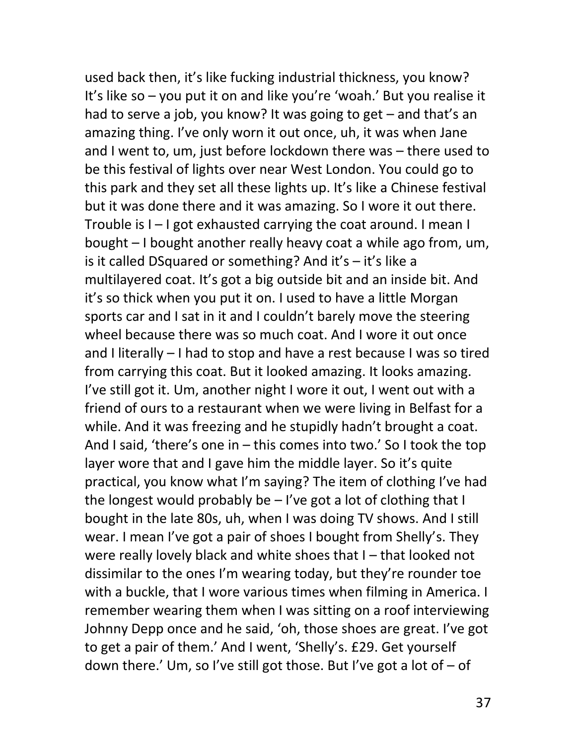used back then, it's like fucking industrial thickness, you know? It's like so – you put it on and like you're 'woah.' But you realise it had to serve a job, you know? It was going to get – and that's an amazing thing. I've only worn it out once, uh, it was when Jane and I went to, um, just before lockdown there was – there used to be this festival of lights over near West London. You could go to this park and they set all these lights up. It's like a Chinese festival but it was done there and it was amazing. So I wore it out there. Trouble is I – I got exhausted carrying the coat around. I mean I bought – I bought another really heavy coat a while ago from, um, is it called DSquared or something? And it's – it's like a multilayered coat. It's got a big outside bit and an inside bit. And it's so thick when you put it on. I used to have a little Morgan sports car and I sat in it and I couldn't barely move the steering wheel because there was so much coat. And I wore it out once and I literally – I had to stop and have a rest because I was so tired from carrying this coat. But it looked amazing. It looks amazing. I've still got it. Um, another night I wore it out, I went out with a friend of ours to a restaurant when we were living in Belfast for a while. And it was freezing and he stupidly hadn't brought a coat. And I said, 'there's one in – this comes into two.' So I took the top layer wore that and I gave him the middle layer. So it's quite practical, you know what I'm saying? The item of clothing I've had the longest would probably be  $-$  I've got a lot of clothing that I bought in the late 80s, uh, when I was doing TV shows. And I still wear. I mean I've got a pair of shoes I bought from Shelly's. They were really lovely black and white shoes that I – that looked not dissimilar to the ones I'm wearing today, but they're rounder toe with a buckle, that I wore various times when filming in America. I remember wearing them when I was sitting on a roof interviewing Johnny Depp once and he said, 'oh, those shoes are great. I've got to get a pair of them.' And I went, 'Shelly's. £29. Get yourself down there.' Um, so I've still got those. But I've got a lot of  $-$  of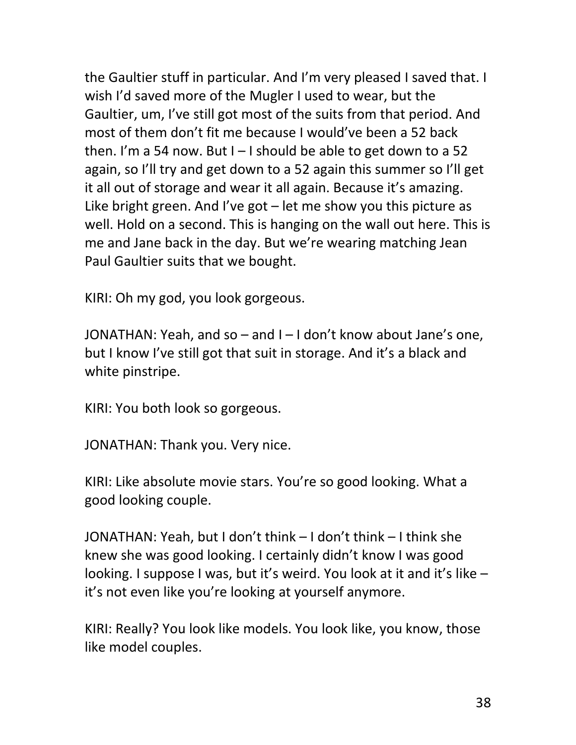the Gaultier stuff in particular. And I'm very pleased I saved that. I wish I'd saved more of the Mugler I used to wear, but the Gaultier, um, I've still got most of the suits from that period. And most of them don't fit me because I would've been a 52 back then. I'm a 54 now. But  $I - I$  should be able to get down to a 52 again, so I'll try and get down to a 52 again this summer so I'll get it all out of storage and wear it all again. Because it's amazing. Like bright green. And I've got – let me show you this picture as well. Hold on a second. This is hanging on the wall out here. This is me and Jane back in the day. But we're wearing matching Jean Paul Gaultier suits that we bought.

KIRI: Oh my god, you look gorgeous.

JONATHAN: Yeah, and so – and I – I don't know about Jane's one, but I know I've still got that suit in storage. And it's a black and white pinstripe.

KIRI: You both look so gorgeous.

JONATHAN: Thank you. Very nice.

KIRI: Like absolute movie stars. You're so good looking. What a good looking couple.

JONATHAN: Yeah, but I don't think – I don't think – I think she knew she was good looking. I certainly didn't know I was good looking. I suppose I was, but it's weird. You look at it and it's like – it's not even like you're looking at yourself anymore.

KIRI: Really? You look like models. You look like, you know, those like model couples.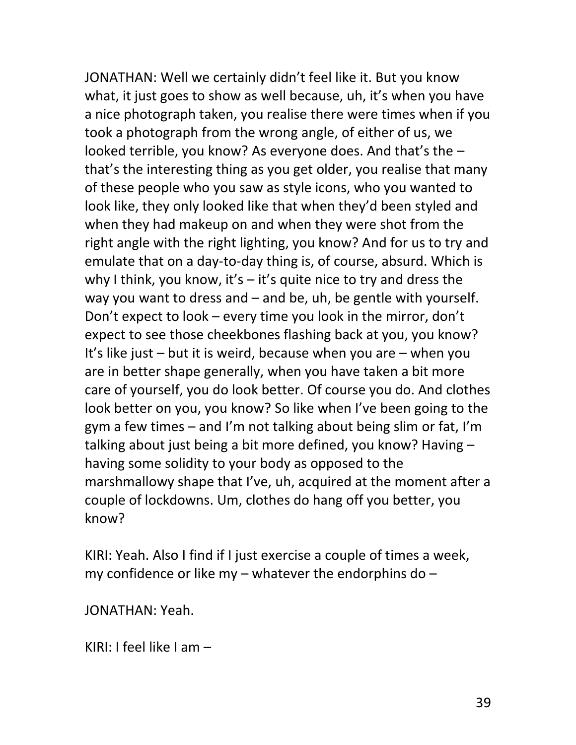JONATHAN: Well we certainly didn't feel like it. But you know what, it just goes to show as well because, uh, it's when you have a nice photograph taken, you realise there were times when if you took a photograph from the wrong angle, of either of us, we looked terrible, you know? As everyone does. And that's the – that's the interesting thing as you get older, you realise that many of these people who you saw as style icons, who you wanted to look like, they only looked like that when they'd been styled and when they had makeup on and when they were shot from the right angle with the right lighting, you know? And for us to try and emulate that on a day-to-day thing is, of course, absurd. Which is why I think, you know, it's  $-$  it's quite nice to try and dress the way you want to dress and – and be, uh, be gentle with yourself. Don't expect to look – every time you look in the mirror, don't expect to see those cheekbones flashing back at you, you know? It's like just – but it is weird, because when you are – when you are in better shape generally, when you have taken a bit more care of yourself, you do look better. Of course you do. And clothes look better on you, you know? So like when I've been going to the gym a few times – and I'm not talking about being slim or fat, I'm talking about just being a bit more defined, you know? Having – having some solidity to your body as opposed to the marshmallowy shape that I've, uh, acquired at the moment after a couple of lockdowns. Um, clothes do hang off you better, you know?

KIRI: Yeah. Also I find if I just exercise a couple of times a week, my confidence or like my – whatever the endorphins do –

JONATHAN: Yeah.

KIRI: I feel like I am –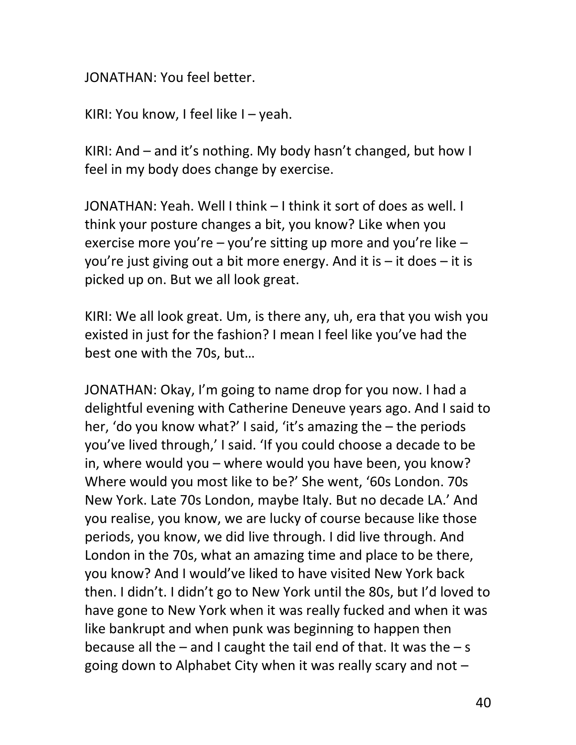JONATHAN: You feel better.

KIRI: You know, I feel like I – yeah.

KIRI: And – and it's nothing. My body hasn't changed, but how I feel in my body does change by exercise.

JONATHAN: Yeah. Well I think – I think it sort of does as well. I think your posture changes a bit, you know? Like when you exercise more you're – you're sitting up more and you're like – you're just giving out a bit more energy. And it is – it does – it is picked up on. But we all look great.

KIRI: We all look great. Um, is there any, uh, era that you wish you existed in just for the fashion? I mean I feel like you've had the best one with the 70s, but…

JONATHAN: Okay, I'm going to name drop for you now. I had a delightful evening with Catherine Deneuve years ago. And I said to her, 'do you know what?' I said, 'it's amazing the – the periods you've lived through,' I said. 'If you could choose a decade to be in, where would you – where would you have been, you know? Where would you most like to be?' She went, '60s London. 70s New York. Late 70s London, maybe Italy. But no decade LA.' And you realise, you know, we are lucky of course because like those periods, you know, we did live through. I did live through. And London in the 70s, what an amazing time and place to be there, you know? And I would've liked to have visited New York back then. I didn't. I didn't go to New York until the 80s, but I'd loved to have gone to New York when it was really fucked and when it was like bankrupt and when punk was beginning to happen then because all the  $-$  and I caught the tail end of that. It was the  $-$  s going down to Alphabet City when it was really scary and not –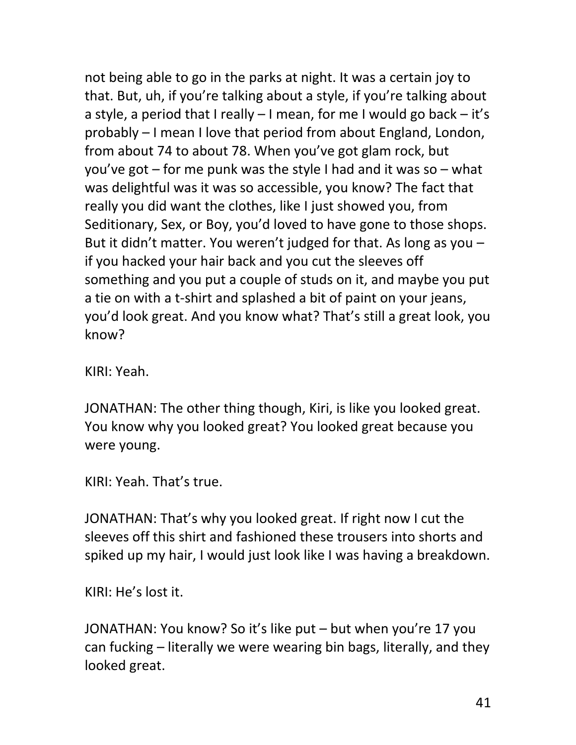not being able to go in the parks at night. It was a certain joy to that. But, uh, if you're talking about a style, if you're talking about a style, a period that I really – I mean, for me I would go back – it's probably – I mean I love that period from about England, London, from about 74 to about 78. When you've got glam rock, but you've got – for me punk was the style I had and it was so – what was delightful was it was so accessible, you know? The fact that really you did want the clothes, like I just showed you, from Seditionary, Sex, or Boy, you'd loved to have gone to those shops. But it didn't matter. You weren't judged for that. As long as you – if you hacked your hair back and you cut the sleeves off something and you put a couple of studs on it, and maybe you put a tie on with a t-shirt and splashed a bit of paint on your jeans, you'd look great. And you know what? That's still a great look, you know?

KIRI: Yeah.

JONATHAN: The other thing though, Kiri, is like you looked great. You know why you looked great? You looked great because you were young.

KIRI: Yeah. That's true.

JONATHAN: That's why you looked great. If right now I cut the sleeves off this shirt and fashioned these trousers into shorts and spiked up my hair, I would just look like I was having a breakdown.

KIRI: He's lost it.

JONATHAN: You know? So it's like put – but when you're 17 you can fucking – literally we were wearing bin bags, literally, and they looked great.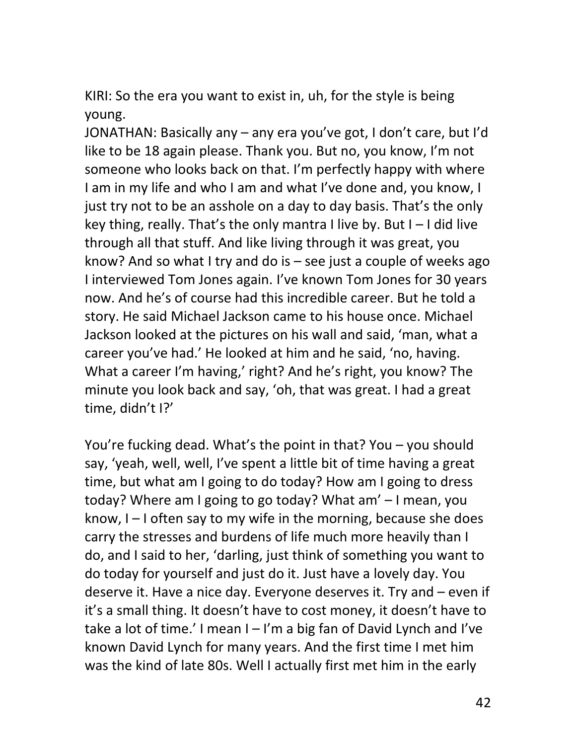KIRI: So the era you want to exist in, uh, for the style is being young.

JONATHAN: Basically any – any era you've got, I don't care, but I'd like to be 18 again please. Thank you. But no, you know, I'm not someone who looks back on that. I'm perfectly happy with where I am in my life and who I am and what I've done and, you know, I just try not to be an asshole on a day to day basis. That's the only key thing, really. That's the only mantra I live by. But  $I - I$  did live through all that stuff. And like living through it was great, you know? And so what I try and do is – see just a couple of weeks ago I interviewed Tom Jones again. I've known Tom Jones for 30 years now. And he's of course had this incredible career. But he told a story. He said Michael Jackson came to his house once. Michael Jackson looked at the pictures on his wall and said, 'man, what a career you've had.' He looked at him and he said, 'no, having. What a career I'm having,' right? And he's right, you know? The minute you look back and say, 'oh, that was great. I had a great time, didn't I?'

You're fucking dead. What's the point in that? You – you should say, 'yeah, well, well, I've spent a little bit of time having a great time, but what am I going to do today? How am I going to dress today? Where am I going to go today? What am' – I mean, you know,  $I - I$  often say to my wife in the morning, because she does carry the stresses and burdens of life much more heavily than I do, and I said to her, 'darling, just think of something you want to do today for yourself and just do it. Just have a lovely day. You deserve it. Have a nice day. Everyone deserves it. Try and – even if it's a small thing. It doesn't have to cost money, it doesn't have to take a lot of time.' I mean  $I - I'm$  a big fan of David Lynch and I've known David Lynch for many years. And the first time I met him was the kind of late 80s. Well I actually first met him in the early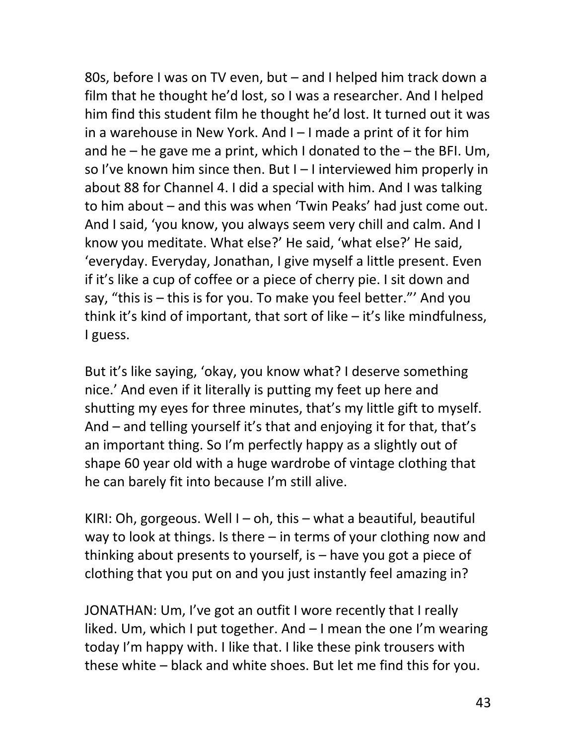80s, before I was on TV even, but – and I helped him track down a film that he thought he'd lost, so I was a researcher. And I helped him find this student film he thought he'd lost. It turned out it was in a warehouse in New York. And I – I made a print of it for him and he – he gave me a print, which I donated to the – the BFI. Um, so I've known him since then. But I – I interviewed him properly in about 88 for Channel 4. I did a special with him. And I was talking to him about – and this was when 'Twin Peaks' had just come out. And I said, 'you know, you always seem very chill and calm. And I know you meditate. What else?' He said, 'what else?' He said, 'everyday. Everyday, Jonathan, I give myself a little present. Even if it's like a cup of coffee or a piece of cherry pie. I sit down and say, "this is – this is for you. To make you feel better."' And you think it's kind of important, that sort of like – it's like mindfulness, I guess.

But it's like saying, 'okay, you know what? I deserve something nice.' And even if it literally is putting my feet up here and shutting my eyes for three minutes, that's my little gift to myself. And – and telling yourself it's that and enjoying it for that, that's an important thing. So I'm perfectly happy as a slightly out of shape 60 year old with a huge wardrobe of vintage clothing that he can barely fit into because I'm still alive.

KIRI: Oh, gorgeous. Well  $I - oh$ , this  $-$  what a beautiful, beautiful way to look at things. Is there – in terms of your clothing now and thinking about presents to yourself, is – have you got a piece of clothing that you put on and you just instantly feel amazing in?

JONATHAN: Um, I've got an outfit I wore recently that I really liked. Um, which I put together. And – I mean the one I'm wearing today I'm happy with. I like that. I like these pink trousers with these white – black and white shoes. But let me find this for you.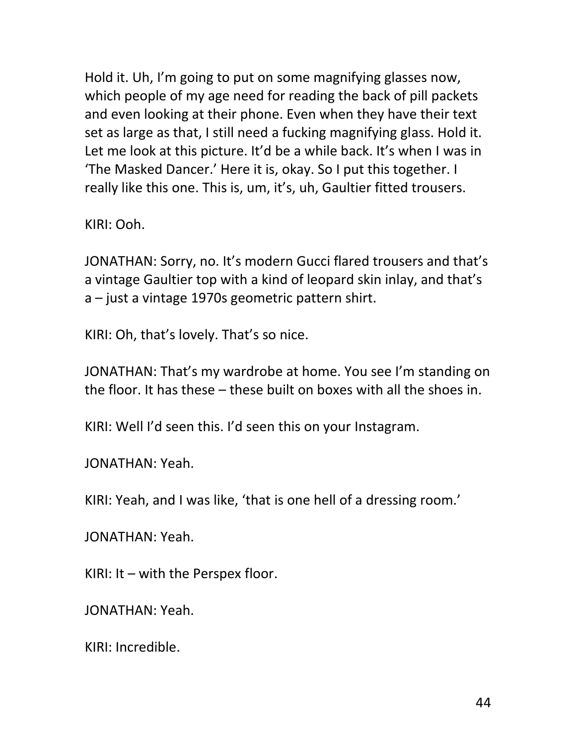Hold it. Uh, I'm going to put on some magnifying glasses now, which people of my age need for reading the back of pill packets and even looking at their phone. Even when they have their text set as large as that, I still need a fucking magnifying glass. Hold it. Let me look at this picture. It'd be a while back. It's when I was in 'The Masked Dancer.' Here it is, okay. So I put this together. I really like this one. This is, um, it's, uh, Gaultier fitted trousers.

KIRI: Ooh.

JONATHAN: Sorry, no. It's modern Gucci flared trousers and that's a vintage Gaultier top with a kind of leopard skin inlay, and that's a – just a vintage 1970s geometric pattern shirt.

KIRI: Oh, that's lovely. That's so nice.

JONATHAN: That's my wardrobe at home. You see I'm standing on the floor. It has these – these built on boxes with all the shoes in.

KIRI: Well I'd seen this. I'd seen this on your Instagram.

JONATHAN: Yeah.

KIRI: Yeah, and I was like, 'that is one hell of a dressing room.'

JONATHAN: Yeah.

KIRI: It – with the Perspex floor.

JONATHAN: Yeah.

KIRI: Incredible.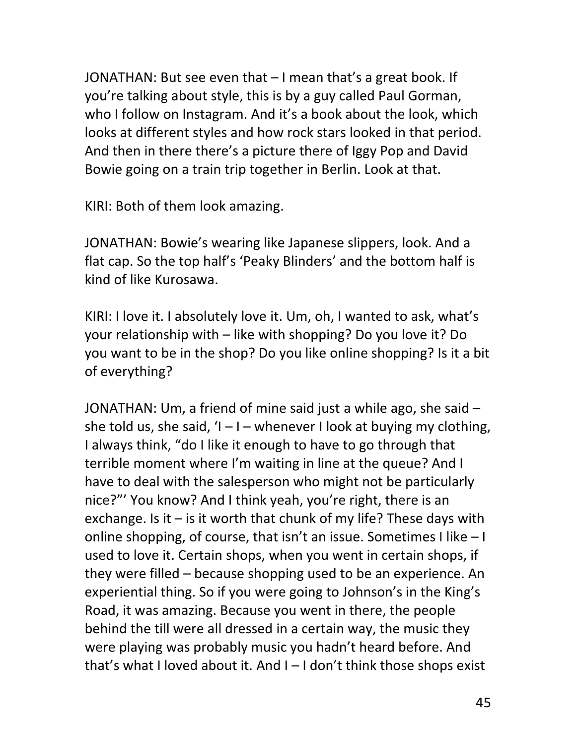JONATHAN: But see even that – I mean that's a great book. If you're talking about style, this is by a guy called Paul Gorman, who I follow on Instagram. And it's a book about the look, which looks at different styles and how rock stars looked in that period. And then in there there's a picture there of Iggy Pop and David Bowie going on a train trip together in Berlin. Look at that.

KIRI: Both of them look amazing.

JONATHAN: Bowie's wearing like Japanese slippers, look. And a flat cap. So the top half's 'Peaky Blinders' and the bottom half is kind of like Kurosawa.

KIRI: I love it. I absolutely love it. Um, oh, I wanted to ask, what's your relationship with – like with shopping? Do you love it? Do you want to be in the shop? Do you like online shopping? Is it a bit of everything?

JONATHAN: Um, a friend of mine said just a while ago, she said – she told us, she said,  $1 - 1 -$  whenever I look at buying my clothing, I always think, "do I like it enough to have to go through that terrible moment where I'm waiting in line at the queue? And I have to deal with the salesperson who might not be particularly nice?"' You know? And I think yeah, you're right, there is an exchange. Is it  $-$  is it worth that chunk of my life? These days with online shopping, of course, that isn't an issue. Sometimes I like – I used to love it. Certain shops, when you went in certain shops, if they were filled – because shopping used to be an experience. An experiential thing. So if you were going to Johnson's in the King's Road, it was amazing. Because you went in there, the people behind the till were all dressed in a certain way, the music they were playing was probably music you hadn't heard before. And that's what I loved about it. And I – I don't think those shops exist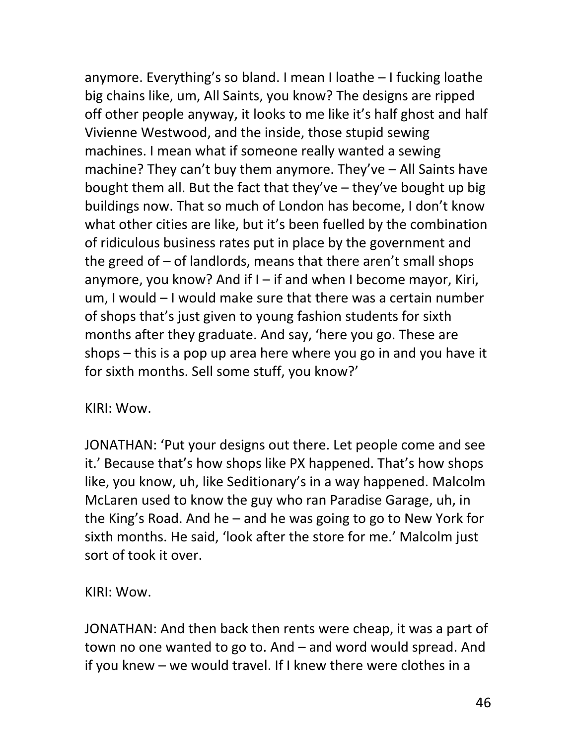anymore. Everything's so bland. I mean I loathe – I fucking loathe big chains like, um, All Saints, you know? The designs are ripped off other people anyway, it looks to me like it's half ghost and half Vivienne Westwood, and the inside, those stupid sewing machines. I mean what if someone really wanted a sewing machine? They can't buy them anymore. They've – All Saints have bought them all. But the fact that they've – they've bought up big buildings now. That so much of London has become, I don't know what other cities are like, but it's been fuelled by the combination of ridiculous business rates put in place by the government and the greed of – of landlords, means that there aren't small shops anymore, you know? And if I – if and when I become mayor, Kiri, um, I would – I would make sure that there was a certain number of shops that's just given to young fashion students for sixth months after they graduate. And say, 'here you go. These are shops – this is a pop up area here where you go in and you have it for sixth months. Sell some stuff, you know?'

### KIRI: Wow.

JONATHAN: 'Put your designs out there. Let people come and see it.' Because that's how shops like PX happened. That's how shops like, you know, uh, like Seditionary's in a way happened. Malcolm McLaren used to know the guy who ran Paradise Garage, uh, in the King's Road. And he – and he was going to go to New York for sixth months. He said, 'look after the store for me.' Malcolm just sort of took it over.

# KIRI: Wow.

JONATHAN: And then back then rents were cheap, it was a part of town no one wanted to go to. And – and word would spread. And if you knew – we would travel. If I knew there were clothes in a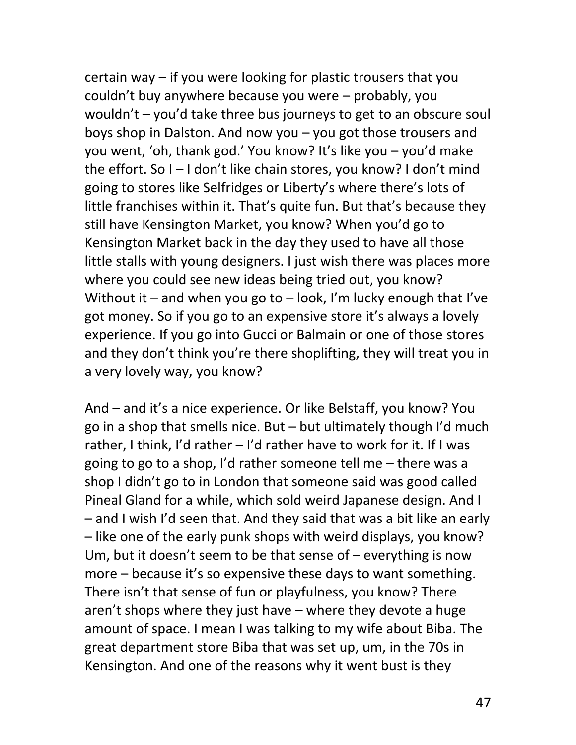certain way – if you were looking for plastic trousers that you couldn't buy anywhere because you were – probably, you wouldn't – you'd take three bus journeys to get to an obscure soul boys shop in Dalston. And now you – you got those trousers and you went, 'oh, thank god.' You know? It's like you – you'd make the effort. So I – I don't like chain stores, you know? I don't mind going to stores like Selfridges or Liberty's where there's lots of little franchises within it. That's quite fun. But that's because they still have Kensington Market, you know? When you'd go to Kensington Market back in the day they used to have all those little stalls with young designers. I just wish there was places more where you could see new ideas being tried out, you know? Without it – and when you go to – look, I'm lucky enough that I've got money. So if you go to an expensive store it's always a lovely experience. If you go into Gucci or Balmain or one of those stores and they don't think you're there shoplifting, they will treat you in a very lovely way, you know?

And – and it's a nice experience. Or like Belstaff, you know? You go in a shop that smells nice. But – but ultimately though I'd much rather, I think, I'd rather – I'd rather have to work for it. If I was going to go to a shop, I'd rather someone tell me – there was a shop I didn't go to in London that someone said was good called Pineal Gland for a while, which sold weird Japanese design. And I – and I wish I'd seen that. And they said that was a bit like an early – like one of the early punk shops with weird displays, you know? Um, but it doesn't seem to be that sense of – everything is now more – because it's so expensive these days to want something. There isn't that sense of fun or playfulness, you know? There aren't shops where they just have – where they devote a huge amount of space. I mean I was talking to my wife about Biba. The great department store Biba that was set up, um, in the 70s in Kensington. And one of the reasons why it went bust is they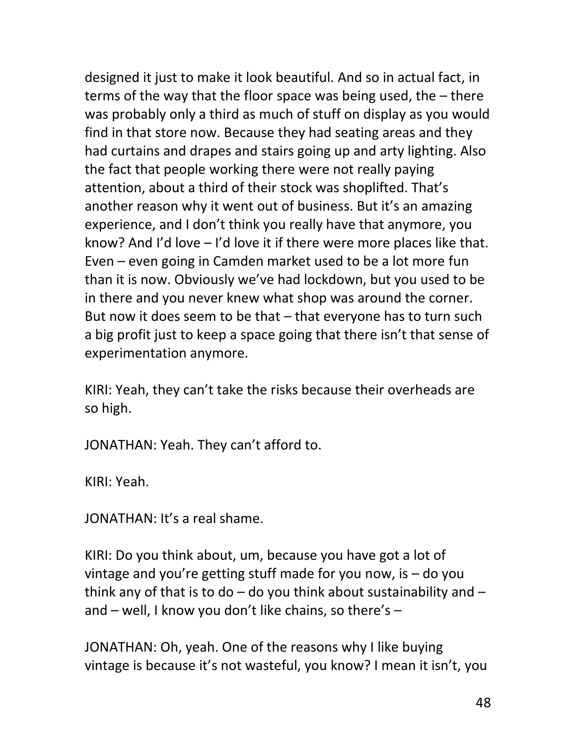designed it just to make it look beautiful. And so in actual fact, in terms of the way that the floor space was being used, the – there was probably only a third as much of stuff on display as you would find in that store now. Because they had seating areas and they had curtains and drapes and stairs going up and arty lighting. Also the fact that people working there were not really paying attention, about a third of their stock was shoplifted. That's another reason why it went out of business. But it's an amazing experience, and I don't think you really have that anymore, you know? And I'd love – I'd love it if there were more places like that. Even – even going in Camden market used to be a lot more fun than it is now. Obviously we've had lockdown, but you used to be in there and you never knew what shop was around the corner. But now it does seem to be that – that everyone has to turn such a big profit just to keep a space going that there isn't that sense of experimentation anymore.

KIRI: Yeah, they can't take the risks because their overheads are so high.

JONATHAN: Yeah. They can't afford to.

KIRI: Yeah.

JONATHAN: It's a real shame.

KIRI: Do you think about, um, because you have got a lot of vintage and you're getting stuff made for you now, is  $-$  do you think any of that is to do  $-$  do you think about sustainability and  $$ and – well, I know you don't like chains, so there's –

JONATHAN: Oh, yeah. One of the reasons why I like buying vintage is because it's not wasteful, you know? I mean it isn't, you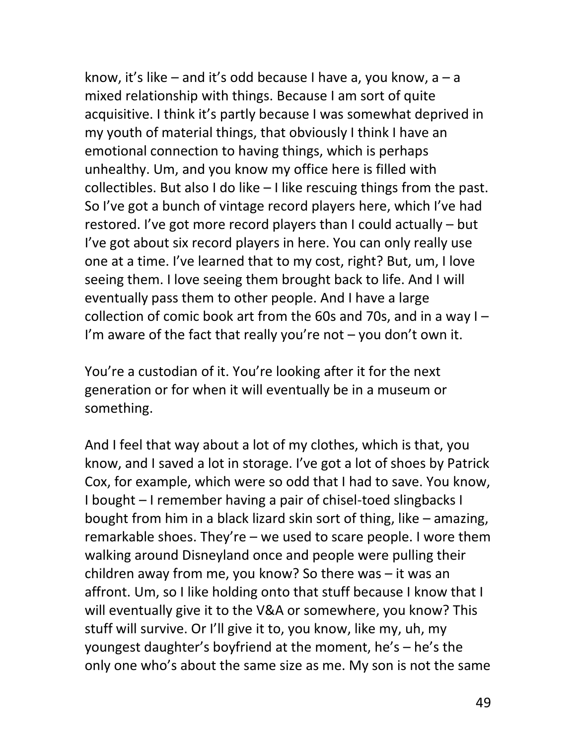know, it's like – and it's odd because I have a, you know,  $a - a$ mixed relationship with things. Because I am sort of quite acquisitive. I think it's partly because I was somewhat deprived in my youth of material things, that obviously I think I have an emotional connection to having things, which is perhaps unhealthy. Um, and you know my office here is filled with collectibles. But also I do like – I like rescuing things from the past. So I've got a bunch of vintage record players here, which I've had restored. I've got more record players than I could actually – but I've got about six record players in here. You can only really use one at a time. I've learned that to my cost, right? But, um, I love seeing them. I love seeing them brought back to life. And I will eventually pass them to other people. And I have a large collection of comic book art from the 60s and 70s, and in a way I – I'm aware of the fact that really you're not  $-$  you don't own it.

You're a custodian of it. You're looking after it for the next generation or for when it will eventually be in a museum or something.

And I feel that way about a lot of my clothes, which is that, you know, and I saved a lot in storage. I've got a lot of shoes by Patrick Cox, for example, which were so odd that I had to save. You know, I bought – I remember having a pair of chisel-toed slingbacks I bought from him in a black lizard skin sort of thing, like – amazing, remarkable shoes. They're – we used to scare people. I wore them walking around Disneyland once and people were pulling their children away from me, you know? So there was – it was an affront. Um, so I like holding onto that stuff because I know that I will eventually give it to the V&A or somewhere, you know? This stuff will survive. Or I'll give it to, you know, like my, uh, my youngest daughter's boyfriend at the moment, he's – he's the only one who's about the same size as me. My son is not the same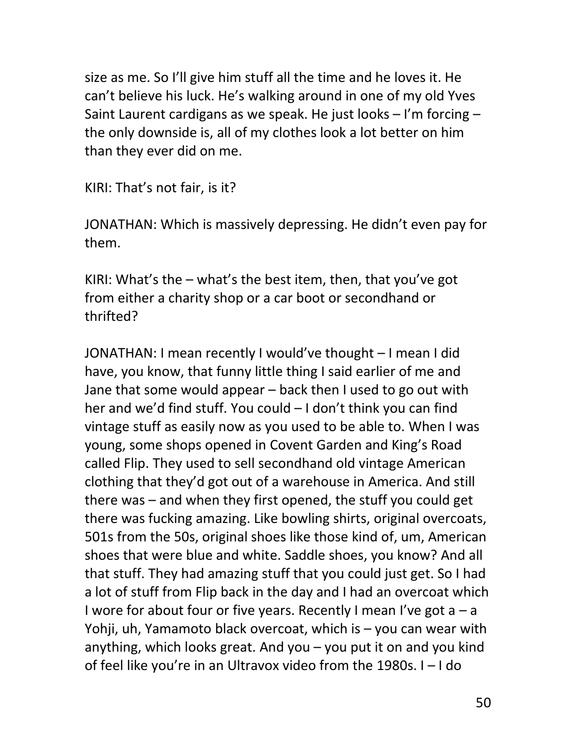size as me. So I'll give him stuff all the time and he loves it. He can't believe his luck. He's walking around in one of my old Yves Saint Laurent cardigans as we speak. He just looks – I'm forcing – the only downside is, all of my clothes look a lot better on him than they ever did on me.

KIRI: That's not fair, is it?

JONATHAN: Which is massively depressing. He didn't even pay for them.

KIRI: What's the – what's the best item, then, that you've got from either a charity shop or a car boot or secondhand or thrifted?

JONATHAN: I mean recently I would've thought – I mean I did have, you know, that funny little thing I said earlier of me and Jane that some would appear – back then I used to go out with her and we'd find stuff. You could – I don't think you can find vintage stuff as easily now as you used to be able to. When I was young, some shops opened in Covent Garden and King's Road called Flip. They used to sell secondhand old vintage American clothing that they'd got out of a warehouse in America. And still there was – and when they first opened, the stuff you could get there was fucking amazing. Like bowling shirts, original overcoats, 501s from the 50s, original shoes like those kind of, um, American shoes that were blue and white. Saddle shoes, you know? And all that stuff. They had amazing stuff that you could just get. So I had a lot of stuff from Flip back in the day and I had an overcoat which I wore for about four or five years. Recently I mean I've got  $a - a$ Yohji, uh, Yamamoto black overcoat, which is – you can wear with anything, which looks great. And you  $-$  you put it on and you kind of feel like you're in an Ultravox video from the 1980s. I – I do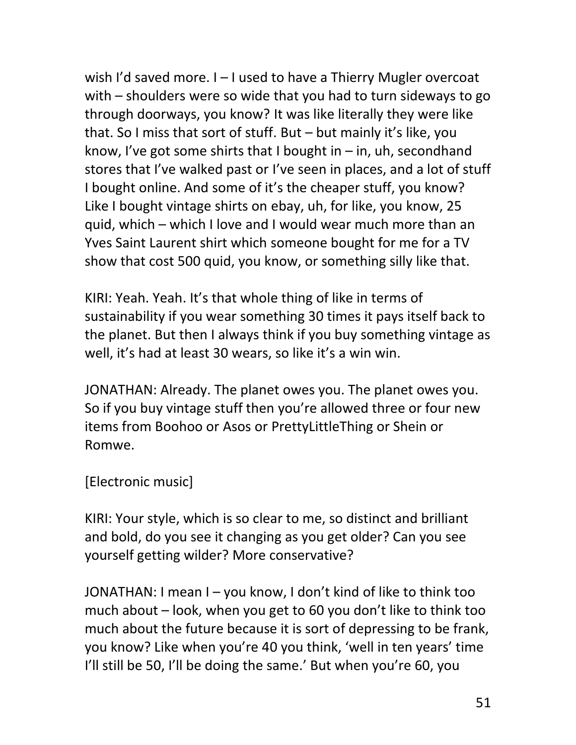wish I'd saved more. I – I used to have a Thierry Mugler overcoat with – shoulders were so wide that you had to turn sideways to go through doorways, you know? It was like literally they were like that. So I miss that sort of stuff. But – but mainly it's like, you know, I've got some shirts that I bought in  $-$  in, uh, secondhand stores that I've walked past or I've seen in places, and a lot of stuff I bought online. And some of it's the cheaper stuff, you know? Like I bought vintage shirts on ebay, uh, for like, you know, 25 quid, which – which I love and I would wear much more than an Yves Saint Laurent shirt which someone bought for me for a TV show that cost 500 quid, you know, or something silly like that.

KIRI: Yeah. Yeah. It's that whole thing of like in terms of sustainability if you wear something 30 times it pays itself back to the planet. But then I always think if you buy something vintage as well, it's had at least 30 wears, so like it's a win win.

JONATHAN: Already. The planet owes you. The planet owes you. So if you buy vintage stuff then you're allowed three or four new items from Boohoo or Asos or PrettyLittleThing or Shein or Romwe.

# [Electronic music]

KIRI: Your style, which is so clear to me, so distinct and brilliant and bold, do you see it changing as you get older? Can you see yourself getting wilder? More conservative?

JONATHAN: I mean I – you know, I don't kind of like to think too much about – look, when you get to 60 you don't like to think too much about the future because it is sort of depressing to be frank, you know? Like when you're 40 you think, 'well in ten years' time I'll still be 50, I'll be doing the same.' But when you're 60, you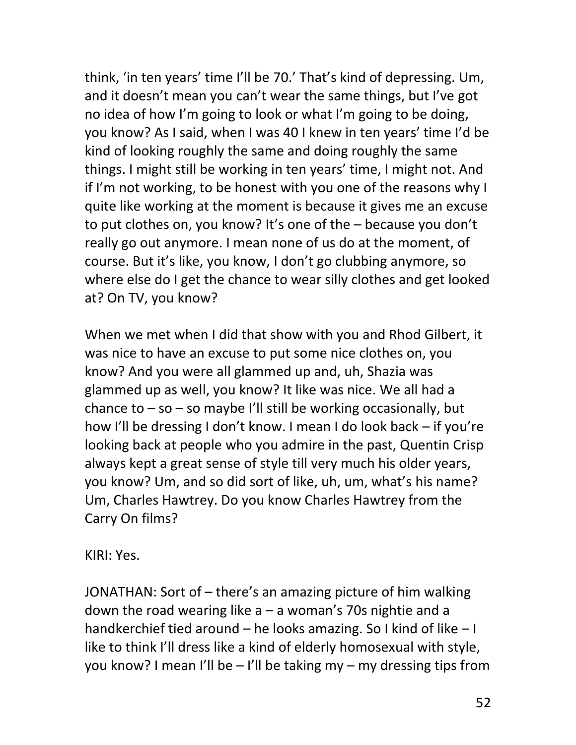think, 'in ten years' time I'll be 70.' That's kind of depressing. Um, and it doesn't mean you can't wear the same things, but I've got no idea of how I'm going to look or what I'm going to be doing, you know? As I said, when I was 40 I knew in ten years' time I'd be kind of looking roughly the same and doing roughly the same things. I might still be working in ten years' time, I might not. And if I'm not working, to be honest with you one of the reasons why I quite like working at the moment is because it gives me an excuse to put clothes on, you know? It's one of the – because you don't really go out anymore. I mean none of us do at the moment, of course. But it's like, you know, I don't go clubbing anymore, so where else do I get the chance to wear silly clothes and get looked at? On TV, you know?

When we met when I did that show with you and Rhod Gilbert, it was nice to have an excuse to put some nice clothes on, you know? And you were all glammed up and, uh, Shazia was glammed up as well, you know? It like was nice. We all had a chance to  $-$  so  $-$  so maybe I'll still be working occasionally, but how I'll be dressing I don't know. I mean I do look back – if you're looking back at people who you admire in the past, Quentin Crisp always kept a great sense of style till very much his older years, you know? Um, and so did sort of like, uh, um, what's his name? Um, Charles Hawtrey. Do you know Charles Hawtrey from the Carry On films?

KIRI: Yes.

JONATHAN: Sort of – there's an amazing picture of him walking down the road wearing like  $a - a$  woman's 70s nightie and a handkerchief tied around – he looks amazing. So I kind of like – I like to think I'll dress like a kind of elderly homosexual with style, you know? I mean I'll be – I'll be taking my – my dressing tips from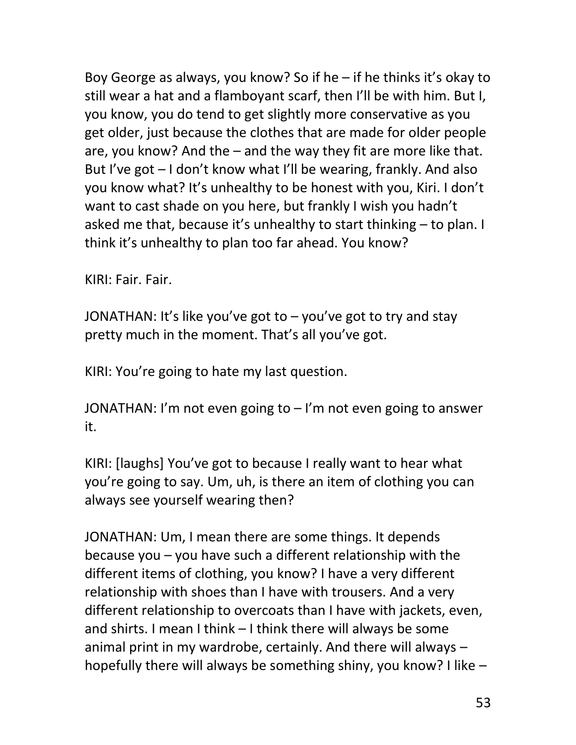Boy George as always, you know? So if he – if he thinks it's okay to still wear a hat and a flamboyant scarf, then I'll be with him. But I, you know, you do tend to get slightly more conservative as you get older, just because the clothes that are made for older people are, you know? And the – and the way they fit are more like that. But I've got – I don't know what I'll be wearing, frankly. And also you know what? It's unhealthy to be honest with you, Kiri. I don't want to cast shade on you here, but frankly I wish you hadn't asked me that, because it's unhealthy to start thinking – to plan. I think it's unhealthy to plan too far ahead. You know?

KIRI: Fair. Fair.

JONATHAN: It's like you've got to  $-$  you've got to try and stay pretty much in the moment. That's all you've got.

KIRI: You're going to hate my last question.

JONATHAN: I'm not even going to – I'm not even going to answer it.

KIRI: [laughs] You've got to because I really want to hear what you're going to say. Um, uh, is there an item of clothing you can always see yourself wearing then?

JONATHAN: Um, I mean there are some things. It depends because you – you have such a different relationship with the different items of clothing, you know? I have a very different relationship with shoes than I have with trousers. And a very different relationship to overcoats than I have with jackets, even, and shirts. I mean I think – I think there will always be some animal print in my wardrobe, certainly. And there will always – hopefully there will always be something shiny, you know? I like –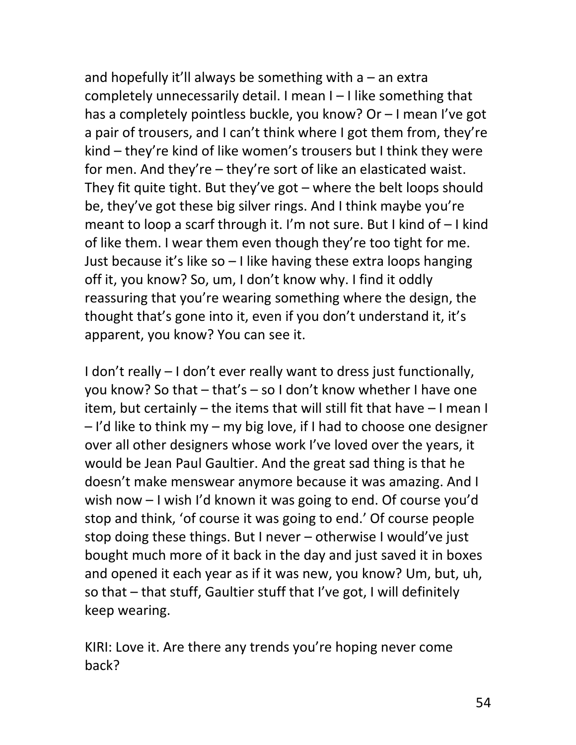and hopefully it'll always be something with  $a - a$ n extra completely unnecessarily detail. I mean I – I like something that has a completely pointless buckle, you know? Or – I mean I've got a pair of trousers, and I can't think where I got them from, they're kind – they're kind of like women's trousers but I think they were for men. And they're – they're sort of like an elasticated waist. They fit quite tight. But they've got – where the belt loops should be, they've got these big silver rings. And I think maybe you're meant to loop a scarf through it. I'm not sure. But I kind of – I kind of like them. I wear them even though they're too tight for me. Just because it's like so – I like having these extra loops hanging off it, you know? So, um, I don't know why. I find it oddly reassuring that you're wearing something where the design, the thought that's gone into it, even if you don't understand it, it's apparent, you know? You can see it.

I don't really – I don't ever really want to dress just functionally, you know? So that – that's – so I don't know whether I have one item, but certainly – the items that will still fit that have – I mean I – I'd like to think my – my big love, if I had to choose one designer over all other designers whose work I've loved over the years, it would be Jean Paul Gaultier. And the great sad thing is that he doesn't make menswear anymore because it was amazing. And I wish now – I wish I'd known it was going to end. Of course you'd stop and think, 'of course it was going to end.' Of course people stop doing these things. But I never – otherwise I would've just bought much more of it back in the day and just saved it in boxes and opened it each year as if it was new, you know? Um, but, uh, so that – that stuff, Gaultier stuff that I've got, I will definitely keep wearing.

KIRI: Love it. Are there any trends you're hoping never come back?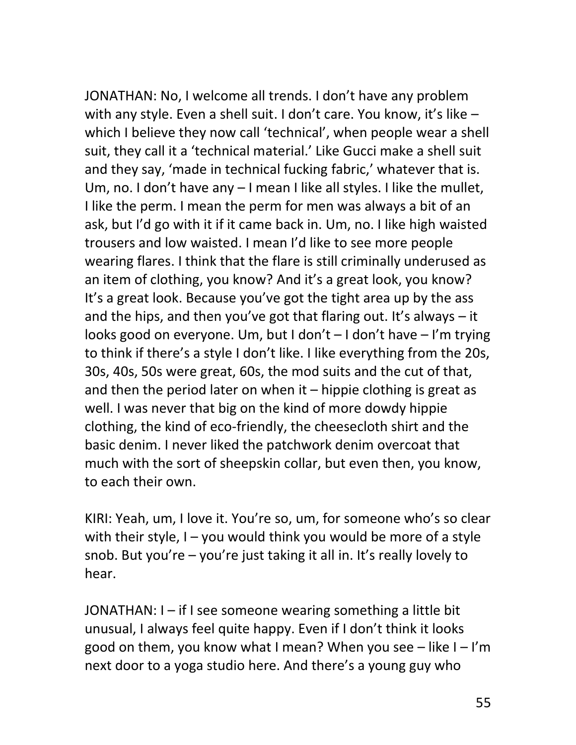JONATHAN: No, I welcome all trends. I don't have any problem with any style. Even a shell suit. I don't care. You know, it's like which I believe they now call 'technical', when people wear a shell suit, they call it a 'technical material.' Like Gucci make a shell suit and they say, 'made in technical fucking fabric,' whatever that is. Um, no. I don't have any – I mean I like all styles. I like the mullet, I like the perm. I mean the perm for men was always a bit of an ask, but I'd go with it if it came back in. Um, no. I like high waisted trousers and low waisted. I mean I'd like to see more people wearing flares. I think that the flare is still criminally underused as an item of clothing, you know? And it's a great look, you know? It's a great look. Because you've got the tight area up by the ass and the hips, and then you've got that flaring out. It's always  $-$  it looks good on everyone. Um, but I don't – I don't have – I'm trying to think if there's a style I don't like. I like everything from the 20s, 30s, 40s, 50s were great, 60s, the mod suits and the cut of that, and then the period later on when it  $-$  hippie clothing is great as well. I was never that big on the kind of more dowdy hippie clothing, the kind of eco-friendly, the cheesecloth shirt and the basic denim. I never liked the patchwork denim overcoat that much with the sort of sheepskin collar, but even then, you know, to each their own.

KIRI: Yeah, um, I love it. You're so, um, for someone who's so clear with their style,  $I - y$ ou would think you would be more of a style snob. But you're – you're just taking it all in. It's really lovely to hear.

JONATHAN: I – if I see someone wearing something a little bit unusual, I always feel quite happy. Even if I don't think it looks good on them, you know what I mean? When you see  $-$  like  $I - I'm$ next door to a yoga studio here. And there's a young guy who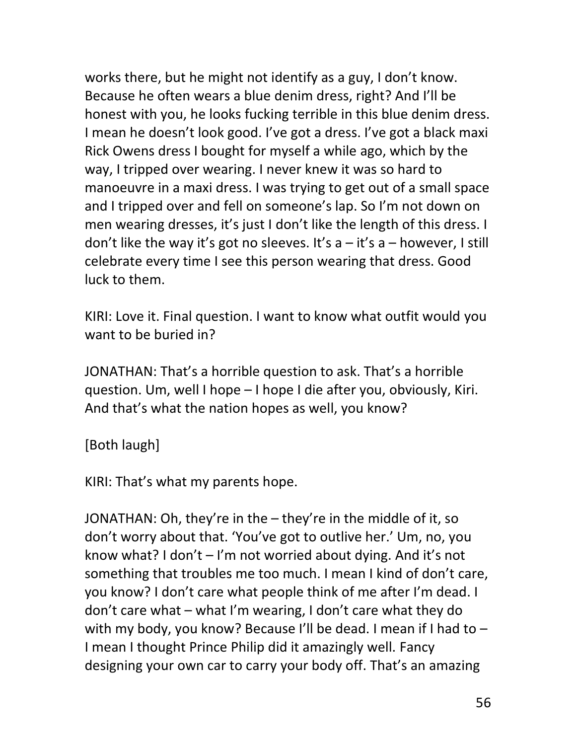works there, but he might not identify as a guy, I don't know. Because he often wears a blue denim dress, right? And I'll be honest with you, he looks fucking terrible in this blue denim dress. I mean he doesn't look good. I've got a dress. I've got a black maxi Rick Owens dress I bought for myself a while ago, which by the way, I tripped over wearing. I never knew it was so hard to manoeuvre in a maxi dress. I was trying to get out of a small space and I tripped over and fell on someone's lap. So I'm not down on men wearing dresses, it's just I don't like the length of this dress. I don't like the way it's got no sleeves. It's  $a - it's a - however$ , I still celebrate every time I see this person wearing that dress. Good luck to them.

KIRI: Love it. Final question. I want to know what outfit would you want to be buried in?

JONATHAN: That's a horrible question to ask. That's a horrible question. Um, well I hope – I hope I die after you, obviously, Kiri. And that's what the nation hopes as well, you know?

[Both laugh]

KIRI: That's what my parents hope.

JONATHAN: Oh, they're in the – they're in the middle of it, so don't worry about that. 'You've got to outlive her.' Um, no, you know what? I don't – I'm not worried about dying. And it's not something that troubles me too much. I mean I kind of don't care, you know? I don't care what people think of me after I'm dead. I don't care what – what I'm wearing, I don't care what they do with my body, you know? Because I'll be dead. I mean if I had to – I mean I thought Prince Philip did it amazingly well. Fancy designing your own car to carry your body off. That's an amazing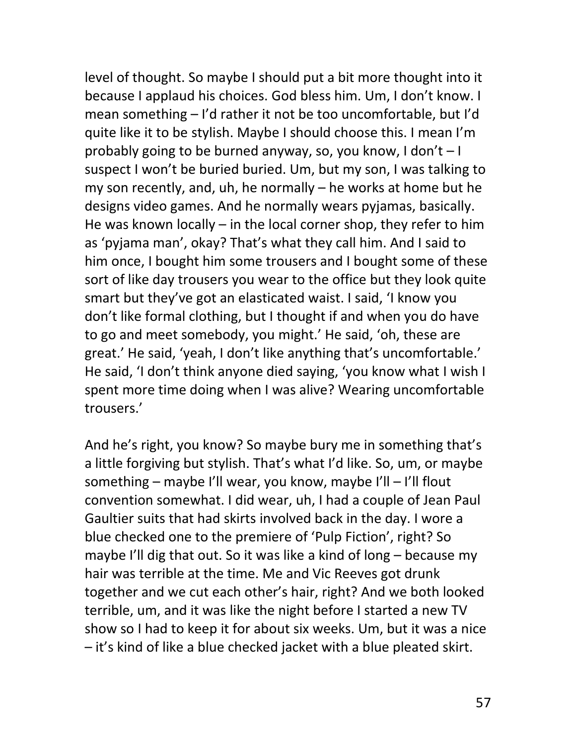level of thought. So maybe I should put a bit more thought into it because I applaud his choices. God bless him. Um, I don't know. I mean something – I'd rather it not be too uncomfortable, but I'd quite like it to be stylish. Maybe I should choose this. I mean I'm probably going to be burned anyway, so, you know, I don't – I suspect I won't be buried buried. Um, but my son, I was talking to my son recently, and, uh, he normally – he works at home but he designs video games. And he normally wears pyjamas, basically. He was known locally – in the local corner shop, they refer to him as 'pyjama man', okay? That's what they call him. And I said to him once, I bought him some trousers and I bought some of these sort of like day trousers you wear to the office but they look quite smart but they've got an elasticated waist. I said, 'I know you don't like formal clothing, but I thought if and when you do have to go and meet somebody, you might.' He said, 'oh, these are great.' He said, 'yeah, I don't like anything that's uncomfortable.' He said, 'I don't think anyone died saying, 'you know what I wish I spent more time doing when I was alive? Wearing uncomfortable trousers.'

And he's right, you know? So maybe bury me in something that's a little forgiving but stylish. That's what I'd like. So, um, or maybe something – maybe I'll wear, you know, maybe I'll – I'll flout convention somewhat. I did wear, uh, I had a couple of Jean Paul Gaultier suits that had skirts involved back in the day. I wore a blue checked one to the premiere of 'Pulp Fiction', right? So maybe I'll dig that out. So it was like a kind of long – because my hair was terrible at the time. Me and Vic Reeves got drunk together and we cut each other's hair, right? And we both looked terrible, um, and it was like the night before I started a new TV show so I had to keep it for about six weeks. Um, but it was a nice – it's kind of like a blue checked jacket with a blue pleated skirt.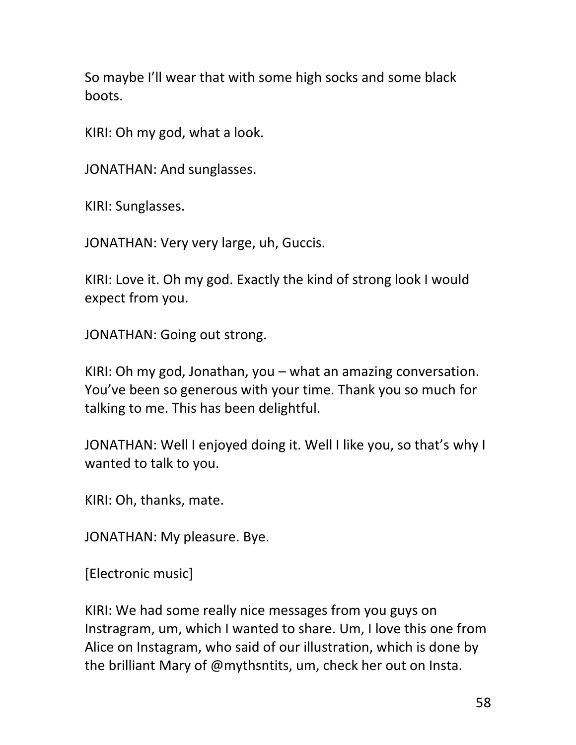So maybe I'll wear that with some high socks and some black boots.

KIRI: Oh my god, what a look.

JONATHAN: And sunglasses.

KIRI: Sunglasses.

JONATHAN: Very very large, uh, Guccis.

KIRI: Love it. Oh my god. Exactly the kind of strong look I would expect from you.

JONATHAN: Going out strong.

KIRI: Oh my god, Jonathan, you – what an amazing conversation. You've been so generous with your time. Thank you so much for talking to me. This has been delightful.

JONATHAN: Well I enjoyed doing it. Well I like you, so that's why I wanted to talk to you.

KIRI: Oh, thanks, mate.

JONATHAN: My pleasure. Bye.

[Electronic music]

KIRI: We had some really nice messages from you guys on Instragram, um, which I wanted to share. Um, I love this one from Alice on Instagram, who said of our illustration, which is done by the brilliant Mary of @mythsntits, um, check her out on Insta.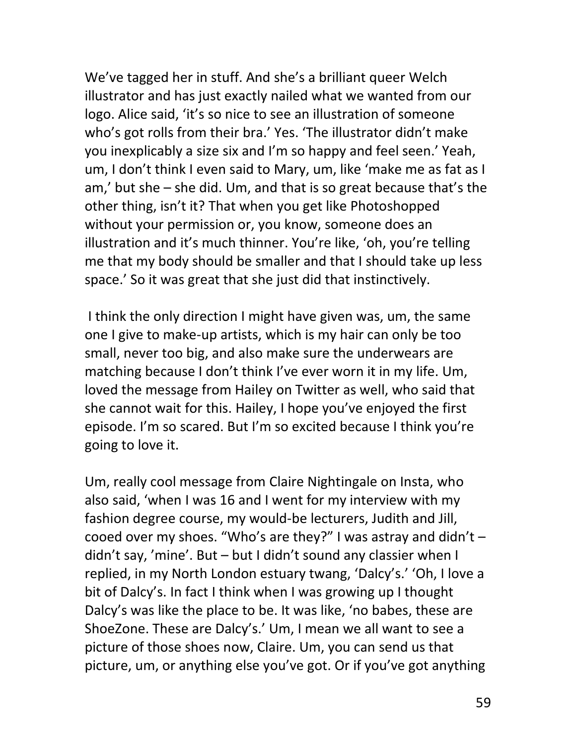We've tagged her in stuff. And she's a brilliant queer Welch illustrator and has just exactly nailed what we wanted from our logo. Alice said, 'it's so nice to see an illustration of someone who's got rolls from their bra.' Yes. 'The illustrator didn't make you inexplicably a size six and I'm so happy and feel seen.' Yeah, um, I don't think I even said to Mary, um, like 'make me as fat as I am,' but she – she did. Um, and that is so great because that's the other thing, isn't it? That when you get like Photoshopped without your permission or, you know, someone does an illustration and it's much thinner. You're like, 'oh, you're telling me that my body should be smaller and that I should take up less space.' So it was great that she just did that instinctively.

I think the only direction I might have given was, um, the same one I give to make-up artists, which is my hair can only be too small, never too big, and also make sure the underwears are matching because I don't think I've ever worn it in my life. Um, loved the message from Hailey on Twitter as well, who said that she cannot wait for this. Hailey, I hope you've enjoyed the first episode. I'm so scared. But I'm so excited because I think you're going to love it.

Um, really cool message from Claire Nightingale on Insta, who also said, 'when I was 16 and I went for my interview with my fashion degree course, my would-be lecturers, Judith and Jill, cooed over my shoes. "Who's are they?" I was astray and didn't – didn't say, 'mine'. But – but I didn't sound any classier when I replied, in my North London estuary twang, 'Dalcy's.' 'Oh, I love a bit of Dalcy's. In fact I think when I was growing up I thought Dalcy's was like the place to be. It was like, 'no babes, these are ShoeZone. These are Dalcy's.' Um, I mean we all want to see a picture of those shoes now, Claire. Um, you can send us that picture, um, or anything else you've got. Or if you've got anything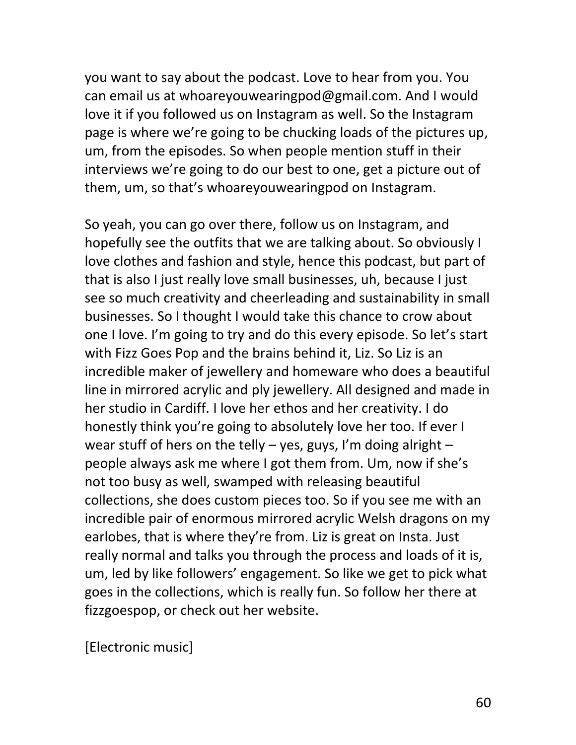you want to say about the podcast. Love to hear from you. You can email us at whoareyouwearingpod@gmail.com. And I would love it if you followed us on Instagram as well. So the Instagram page is where we're going to be chucking loads of the pictures up, um, from the episodes. So when people mention stuff in their interviews we're going to do our best to one, get a picture out of them, um, so that's whoareyouwearingpod on Instagram.

So yeah, you can go over there, follow us on Instagram, and hopefully see the outfits that we are talking about. So obviously I love clothes and fashion and style, hence this podcast, but part of that is also I just really love small businesses, uh, because I just see so much creativity and cheerleading and sustainability in small businesses. So I thought I would take this chance to crow about one I love. I'm going to try and do this every episode. So let's start with Fizz Goes Pop and the brains behind it, Liz. So Liz is an incredible maker of jewellery and homeware who does a beautiful line in mirrored acrylic and ply jewellery. All designed and made in her studio in Cardiff. I love her ethos and her creativity. I do honestly think you're going to absolutely love her too. If ever I wear stuff of hers on the telly  $-$  yes, guys, I'm doing alright  $$ people always ask me where I got them from. Um, now if she's not too busy as well, swamped with releasing beautiful collections, she does custom pieces too. So if you see me with an incredible pair of enormous mirrored acrylic Welsh dragons on my earlobes, that is where they're from. Liz is great on Insta. Just really normal and talks you through the process and loads of it is, um, led by like followers' engagement. So like we get to pick what goes in the collections, which is really fun. So follow her there at fizzgoespop, or check out her website.

[Electronic music]